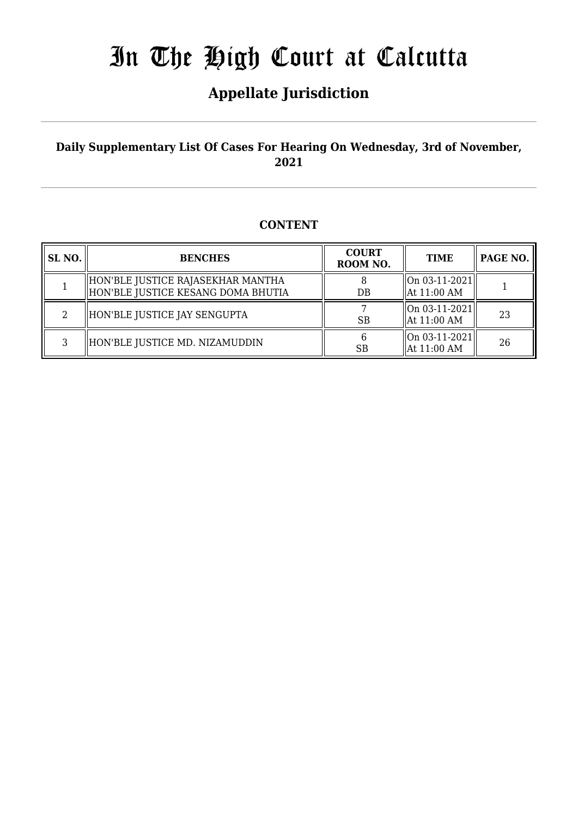## **Appellate Jurisdiction**

### **Daily Supplementary List Of Cases For Hearing On Wednesday, 3rd of November, 2021**

### **CONTENT**

| SL <sub>NO.</sub> | <b>BENCHES</b>                                                          | <b>COURT</b><br>ROOM NO. | <b>TIME</b>                      | PAGE NO. |
|-------------------|-------------------------------------------------------------------------|--------------------------|----------------------------------|----------|
|                   | HON'BLE JUSTICE RAJASEKHAR MANTHA<br>HON'BLE JUSTICE KESANG DOMA BHUTIA | DB                       | $ On 03-11-2021 $<br>At 11:00 AM |          |
| 2                 | HON'BLE JUSTICE JAY SENGUPTA                                            | <b>SB</b>                | $ On 03-11-2021 $<br>At 11:00 AM | 23       |
| 3                 | HON'BLE JUSTICE MD. NIZAMUDDIN                                          | SB                       | $ On 03-11-2021 $<br>At 11:00 AM | 26       |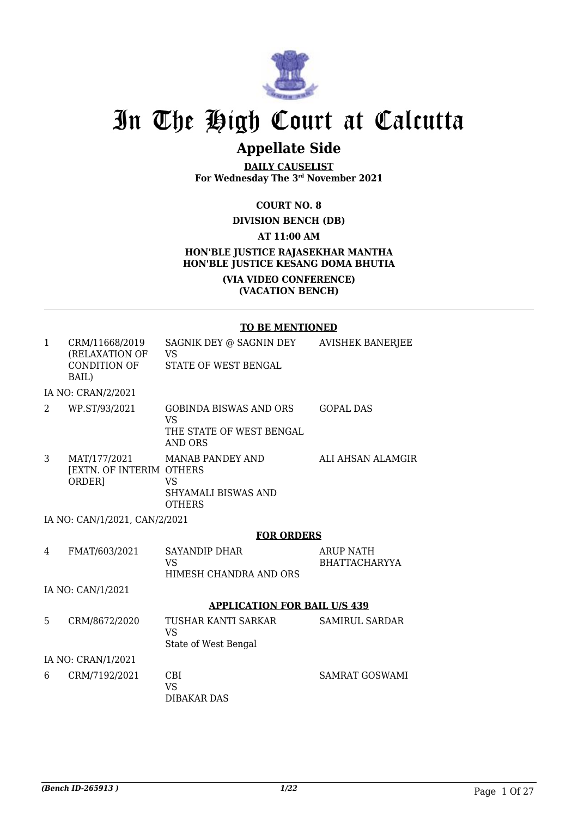

## **Appellate Side**

**DAILY CAUSELIST For Wednesday The 3rd November 2021**

#### **COURT NO. 8**

#### **DIVISION BENCH (DB)**

#### **AT 11:00 AM**

#### **HON'BLE JUSTICE RAJASEKHAR MANTHA HON'BLE JUSTICE KESANG DOMA BHUTIA**

#### **(VIA VIDEO CONFERENCE) (VACATION BENCH)**

#### **TO BE MENTIONED**

| $\mathbf{1}$   | CRM/11668/2019<br>(RELAXATION OF<br>CONDITION OF<br>BAIL) | SAGNIK DEY @ SAGNIN DEY<br>VS<br>STATE OF WEST BENGAL                                    | <b>AVISHEK BANERJEE</b>                  |
|----------------|-----------------------------------------------------------|------------------------------------------------------------------------------------------|------------------------------------------|
|                | IA NO: CRAN/2/2021                                        |                                                                                          |                                          |
| $\overline{2}$ | WP.ST/93/2021                                             | <b>GOBINDA BISWAS AND ORS</b><br><b>VS</b><br>THE STATE OF WEST BENGAL<br><b>AND ORS</b> | <b>GOPAL DAS</b>                         |
| 3              | MAT/177/2021<br><b>[EXTN. OF INTERIM OTHERS</b><br>ORDER] | <b>MANAB PANDEY AND</b><br><b>VS</b><br>SHYAMALI BISWAS AND<br><b>OTHERS</b>             | ALI AHSAN ALAMGIR                        |
|                | IA NO: CAN/1/2021, CAN/2/2021                             |                                                                                          |                                          |
|                |                                                           | <b>FOR ORDERS</b>                                                                        |                                          |
| 4              | FMAT/603/2021                                             | <b>SAYANDIP DHAR</b><br><b>VS</b><br>HIMESH CHANDRA AND ORS                              | <b>ARUP NATH</b><br><b>BHATTACHARYYA</b> |
|                | IA NO: CAN/1/2021                                         |                                                                                          |                                          |
|                |                                                           |                                                                                          |                                          |
|                |                                                           | <b>APPLICATION FOR BAIL U/S 439</b>                                                      |                                          |
| 5              | CRM/8672/2020                                             | TUSHAR KANTI SARKAR<br><b>VS</b><br>State of West Bengal                                 | <b>SAMIRUL SARDAR</b>                    |
|                | IA NO: CRAN/1/2021                                        |                                                                                          |                                          |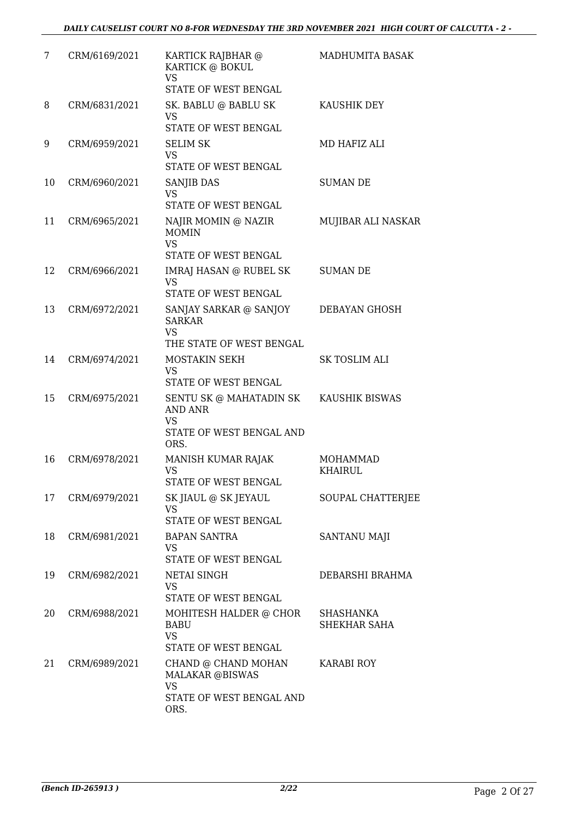| 7  | CRM/6169/2021 | KARTICK RAJBHAR @<br>KARTICK @ BOKUL<br><b>VS</b><br>STATE OF WEST BENGAL                                 | MADHUMITA BASAK                   |
|----|---------------|-----------------------------------------------------------------------------------------------------------|-----------------------------------|
| 8  | CRM/6831/2021 | SK. BABLU @ BABLU SK<br>VS<br>STATE OF WEST BENGAL                                                        | KAUSHIK DEY                       |
| 9  | CRM/6959/2021 | <b>SELIM SK</b><br><b>VS</b><br>STATE OF WEST BENGAL                                                      | MD HAFIZ ALI                      |
| 10 | CRM/6960/2021 | <b>SANJIB DAS</b><br><b>VS</b><br>STATE OF WEST BENGAL                                                    | <b>SUMAN DE</b>                   |
| 11 | CRM/6965/2021 | NAJIR MOMIN @ NAZIR<br><b>MOMIN</b><br><b>VS</b><br>STATE OF WEST BENGAL                                  | MUJIBAR ALI NASKAR                |
| 12 | CRM/6966/2021 | <b>IMRAJ HASAN @ RUBEL SK</b><br><b>VS</b><br>STATE OF WEST BENGAL                                        | SUMAN DE                          |
| 13 | CRM/6972/2021 | SANJAY SARKAR @ SANJOY<br><b>SARKAR</b><br>VS<br>THE STATE OF WEST BENGAL                                 | DEBAYAN GHOSH                     |
| 14 | CRM/6974/2021 | MOSTAKIN SEKH<br><b>VS</b><br>STATE OF WEST BENGAL                                                        | SK TOSLIM ALI                     |
| 15 | CRM/6975/2021 | SENTU SK @ MAHATADIN SK KAUSHIK BISWAS<br><b>AND ANR</b><br><b>VS</b><br>STATE OF WEST BENGAL AND<br>ORS. |                                   |
| 16 | CRM/6978/2021 | MANISH KUMAR RAJAK<br>VS<br>STATE OF WEST BENGAL                                                          | <b>MOHAMMAD</b><br><b>KHAIRUL</b> |
| 17 | CRM/6979/2021 | SK JIAUL @ SK JEYAUL<br>VS<br>STATE OF WEST BENGAL                                                        | SOUPAL CHATTERJEE                 |
| 18 | CRM/6981/2021 | <b>BAPAN SANTRA</b><br>VS<br>STATE OF WEST BENGAL                                                         | <b>SANTANU MAJI</b>               |
| 19 | CRM/6982/2021 | <b>NETAI SINGH</b><br>VS<br>STATE OF WEST BENGAL                                                          | DEBARSHI BRAHMA                   |
| 20 | CRM/6988/2021 | MOHITESH HALDER @ CHOR<br><b>BABU</b><br><b>VS</b><br>STATE OF WEST BENGAL                                | SHASHANKA<br>SHEKHAR SAHA         |
| 21 | CRM/6989/2021 | CHAND @ CHAND MOHAN<br><b>MALAKAR @BISWAS</b><br><b>VS</b><br>STATE OF WEST BENGAL AND<br>ORS.            | <b>KARABI ROY</b>                 |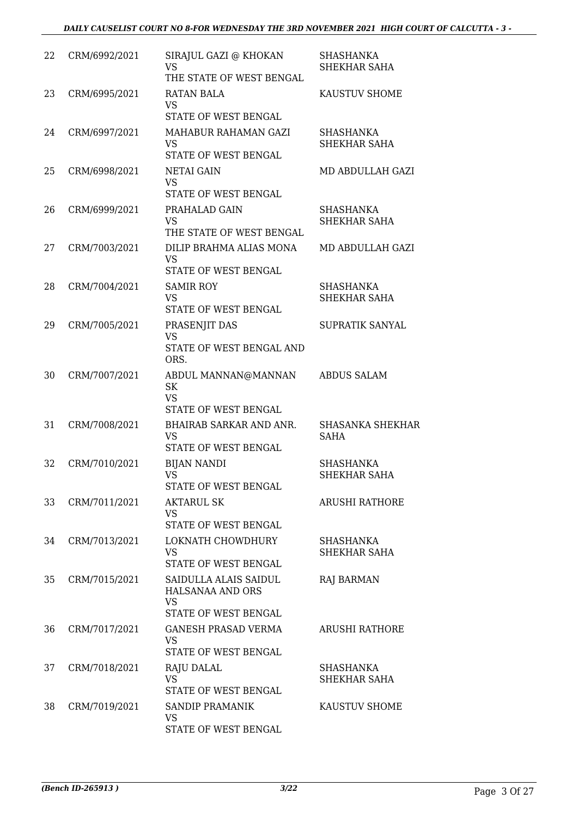| 22 | CRM/6992/2021 | SIRAJUL GAZI @ KHOKAN<br><b>VS</b><br>THE STATE OF WEST BENGAL                 | <b>SHASHANKA</b><br>SHEKHAR SAHA       |
|----|---------------|--------------------------------------------------------------------------------|----------------------------------------|
| 23 | CRM/6995/2021 | RATAN BALA<br>VS<br>STATE OF WEST BENGAL                                       | KAUSTUV SHOME                          |
| 24 | CRM/6997/2021 | MAHABUR RAHAMAN GAZI<br><b>VS</b><br>STATE OF WEST BENGAL                      | SHASHANKA<br>SHEKHAR SAHA              |
| 25 | CRM/6998/2021 | <b>NETAI GAIN</b><br><b>VS</b><br>STATE OF WEST BENGAL                         | MD ABDULLAH GAZI                       |
| 26 | CRM/6999/2021 | PRAHALAD GAIN<br><b>VS</b><br>THE STATE OF WEST BENGAL                         | <b>SHASHANKA</b><br>SHEKHAR SAHA       |
| 27 | CRM/7003/2021 | DILIP BRAHMA ALIAS MONA<br><b>VS</b><br>STATE OF WEST BENGAL                   | MD ABDULLAH GAZI                       |
| 28 | CRM/7004/2021 | <b>SAMIR ROY</b><br><b>VS</b><br>STATE OF WEST BENGAL                          | <b>SHASHANKA</b><br>SHEKHAR SAHA       |
| 29 | CRM/7005/2021 | PRASENJIT DAS<br><b>VS</b><br>STATE OF WEST BENGAL AND<br>ORS.                 | SUPRATIK SANYAL                        |
| 30 | CRM/7007/2021 | ABDUL MANNAN@MANNAN<br>SK<br><b>VS</b><br>STATE OF WEST BENGAL                 | <b>ABDUS SALAM</b>                     |
| 31 | CRM/7008/2021 | BHAIRAB SARKAR AND ANR.<br><b>VS</b><br>STATE OF WEST BENGAL                   | <b>SHASANKA SHEKHAR</b><br><b>SAHA</b> |
| 32 | CRM/7010/2021 | <b>BIJAN NANDI</b><br><b>VS</b><br>STATE OF WEST BENGAL                        | <b>SHASHANKA</b><br>SHEKHAR SAHA       |
| 33 | CRM/7011/2021 | <b>AKTARUL SK</b><br><b>VS</b><br>STATE OF WEST BENGAL                         | <b>ARUSHI RATHORE</b>                  |
| 34 | CRM/7013/2021 | LOKNATH CHOWDHURY<br><b>VS</b><br>STATE OF WEST BENGAL                         | SHASHANKA<br>SHEKHAR SAHA              |
| 35 | CRM/7015/2021 | SAIDULLA ALAIS SAIDUL<br>HALSANAA AND ORS<br><b>VS</b><br>STATE OF WEST BENGAL | <b>RAJ BARMAN</b>                      |
| 36 | CRM/7017/2021 | <b>GANESH PRASAD VERMA</b><br>VS<br>STATE OF WEST BENGAL                       | <b>ARUSHI RATHORE</b>                  |
| 37 | CRM/7018/2021 | RAJU DALAL<br><b>VS</b><br>STATE OF WEST BENGAL                                | SHASHANKA<br>SHEKHAR SAHA              |
| 38 | CRM/7019/2021 | SANDIP PRAMANIK<br><b>VS</b><br>STATE OF WEST BENGAL                           | KAUSTUV SHOME                          |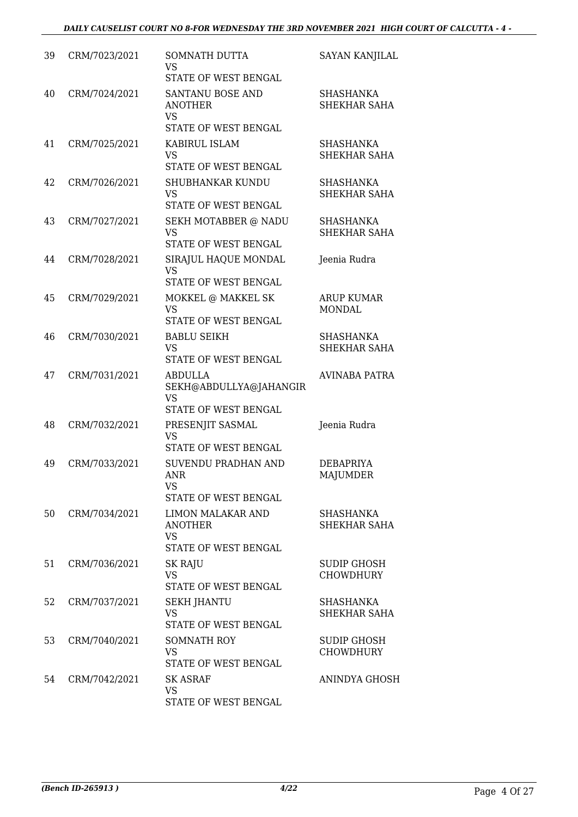| 39 | CRM/7023/2021 | SOMNATH DUTTA<br>VS<br>STATE OF WEST BENGAL                              | <b>SAYAN KANJILAL</b>                  |
|----|---------------|--------------------------------------------------------------------------|----------------------------------------|
| 40 | CRM/7024/2021 | SANTANU BOSE AND<br><b>ANOTHER</b><br><b>VS</b><br>STATE OF WEST BENGAL  | SHASHANKA<br>SHEKHAR SAHA              |
| 41 | CRM/7025/2021 | KABIRUL ISLAM<br><b>VS</b><br>STATE OF WEST BENGAL                       | <b>SHASHANKA</b><br>SHEKHAR SAHA       |
| 42 | CRM/7026/2021 | SHUBHANKAR KUNDU<br><b>VS</b><br>STATE OF WEST BENGAL                    | <b>SHASHANKA</b><br>SHEKHAR SAHA       |
| 43 | CRM/7027/2021 | SEKH MOTABBER @ NADU<br><b>VS</b><br>STATE OF WEST BENGAL                | <b>SHASHANKA</b><br>SHEKHAR SAHA       |
| 44 | CRM/7028/2021 | SIRAJUL HAQUE MONDAL<br><b>VS</b><br>STATE OF WEST BENGAL                | Jeenia Rudra                           |
| 45 | CRM/7029/2021 | MOKKEL @ MAKKEL SK<br><b>VS</b><br>STATE OF WEST BENGAL                  | <b>ARUP KUMAR</b><br><b>MONDAL</b>     |
| 46 | CRM/7030/2021 | <b>BABLU SEIKH</b><br><b>VS</b><br>STATE OF WEST BENGAL                  | SHASHANKA<br>SHEKHAR SAHA              |
| 47 | CRM/7031/2021 | <b>ABDULLA</b><br>SEKH@ABDULLYA@JAHANGIR<br>VS<br>STATE OF WEST BENGAL   | <b>AVINABA PATRA</b>                   |
| 48 | CRM/7032/2021 | PRESENJIT SASMAL<br><b>VS</b><br>STATE OF WEST BENGAL                    | Jeenia Rudra                           |
| 49 | CRM/7033/2021 | SUVENDU PRADHAN AND<br><b>ANR</b><br>VS<br>STATE OF WEST BENGAL          | <b>DEBAPRIYA</b><br><b>MAJUMDER</b>    |
| 50 | CRM/7034/2021 | LIMON MALAKAR AND<br><b>ANOTHER</b><br><b>VS</b><br>STATE OF WEST BENGAL | <b>SHASHANKA</b><br>SHEKHAR SAHA       |
| 51 | CRM/7036/2021 | <b>SK RAJU</b><br><b>VS</b><br>STATE OF WEST BENGAL                      | SUDIP GHOSH<br><b>CHOWDHURY</b>        |
| 52 | CRM/7037/2021 | <b>SEKH JHANTU</b><br><b>VS</b><br>STATE OF WEST BENGAL                  | <b>SHASHANKA</b><br>SHEKHAR SAHA       |
| 53 | CRM/7040/2021 | <b>SOMNATH ROY</b><br><b>VS</b><br>STATE OF WEST BENGAL                  | <b>SUDIP GHOSH</b><br><b>CHOWDHURY</b> |
| 54 | CRM/7042/2021 | <b>SK ASRAF</b><br>VS<br>STATE OF WEST BENGAL                            | ANINDYA GHOSH                          |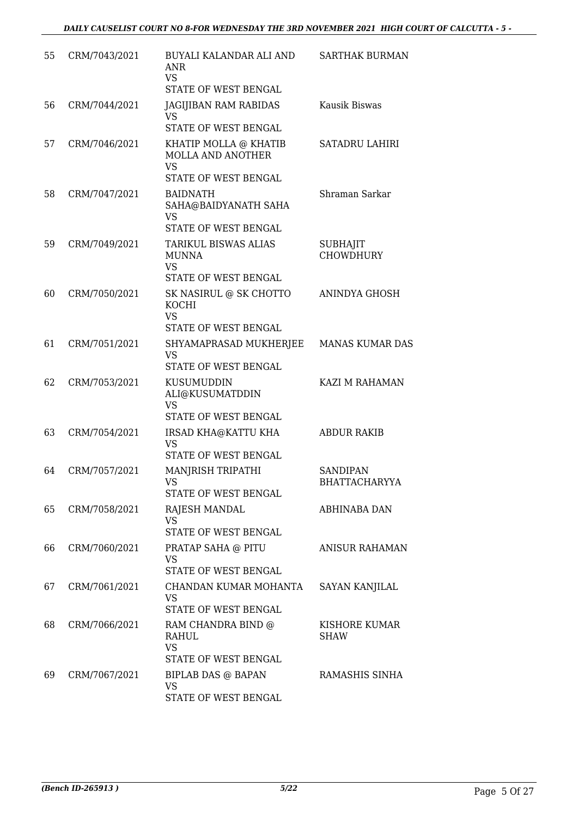| 55 | CRM/7043/2021 | BUYALI KALANDAR ALI AND<br><b>ANR</b><br><b>VS</b><br>STATE OF WEST BENGAL      | SARTHAK BURMAN                          |
|----|---------------|---------------------------------------------------------------------------------|-----------------------------------------|
| 56 | CRM/7044/2021 | JAGIJIBAN RAM RABIDAS<br>VS<br>STATE OF WEST BENGAL                             | Kausik Biswas                           |
| 57 | CRM/7046/2021 | KHATIP MOLLA @ KHATIB<br>MOLLA AND ANOTHER<br><b>VS</b><br>STATE OF WEST BENGAL | <b>SATADRU LAHIRI</b>                   |
| 58 | CRM/7047/2021 | <b>BAIDNATH</b><br>SAHA@BAIDYANATH SAHA<br>VS<br>STATE OF WEST BENGAL           | Shraman Sarkar                          |
| 59 | CRM/7049/2021 | TARIKUL BISWAS ALIAS<br><b>MUNNA</b><br><b>VS</b><br>STATE OF WEST BENGAL       | <b>SUBHAJIT</b><br><b>CHOWDHURY</b>     |
| 60 | CRM/7050/2021 | SK NASIRUL @ SK CHOTTO<br><b>KOCHI</b><br><b>VS</b><br>STATE OF WEST BENGAL     | ANINDYA GHOSH                           |
| 61 | CRM/7051/2021 | SHYAMAPRASAD MUKHERJEE<br><b>VS</b><br>STATE OF WEST BENGAL                     | <b>MANAS KUMAR DAS</b>                  |
| 62 | CRM/7053/2021 | KUSUMUDDIN<br>ALI@KUSUMATDDIN<br><b>VS</b><br>STATE OF WEST BENGAL              | KAZI M RAHAMAN                          |
| 63 | CRM/7054/2021 | IRSAD KHA@KATTU KHA<br><b>VS</b><br>STATE OF WEST BENGAL                        | <b>ABDUR RAKIB</b>                      |
| 64 | CRM/7057/2021 | MANJRISH TRIPATHI<br>VS FOR STRUMP.<br>STATE OF WEST BENGAL                     | <b>SANDIPAN</b><br><b>BHATTACHARYYA</b> |
| 65 | CRM/7058/2021 | RAJESH MANDAL<br>VS.<br>STATE OF WEST BENGAL                                    | ABHINABA DAN                            |
| 66 | CRM/7060/2021 | PRATAP SAHA @ PITU<br><b>VS</b><br>STATE OF WEST BENGAL                         | <b>ANISUR RAHAMAN</b>                   |
| 67 | CRM/7061/2021 | CHANDAN KUMAR MOHANTA<br>VS<br>STATE OF WEST BENGAL                             | SAYAN KANJILAL                          |
| 68 | CRM/7066/2021 | RAM CHANDRA BIND @<br>RAHUL<br><b>VS</b><br>STATE OF WEST BENGAL                | KISHORE KUMAR<br><b>SHAW</b>            |
| 69 | CRM/7067/2021 | <b>BIPLAB DAS @ BAPAN</b><br><b>VS</b><br>STATE OF WEST BENGAL                  | RAMASHIS SINHA                          |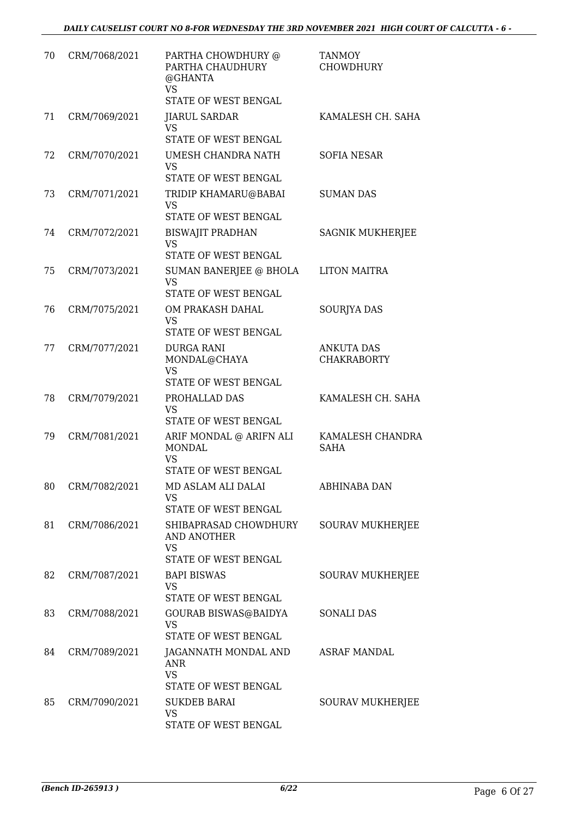| 70 | CRM/7068/2021 | PARTHA CHOWDHURY @<br>PARTHA CHAUDHURY<br>@GHANTA<br>VS                         | TANMOY<br><b>CHOWDHURY</b>              |
|----|---------------|---------------------------------------------------------------------------------|-----------------------------------------|
|    |               | STATE OF WEST BENGAL                                                            |                                         |
| 71 | CRM/7069/2021 | <b>JIARUL SARDAR</b><br>VS<br>STATE OF WEST BENGAL                              | KAMALESH CH. SAHA                       |
| 72 | CRM/7070/2021 | UMESH CHANDRA NATH<br><b>VS</b><br><b>STATE OF WEST BENGAL</b>                  | <b>SOFIA NESAR</b>                      |
| 73 | CRM/7071/2021 | TRIDIP KHAMARU@BABAI<br><b>VS</b><br>STATE OF WEST BENGAL                       | <b>SUMAN DAS</b>                        |
| 74 | CRM/7072/2021 | <b>BISWAJIT PRADHAN</b><br><b>VS</b><br>STATE OF WEST BENGAL                    | <b>SAGNIK MUKHERJEE</b>                 |
| 75 | CRM/7073/2021 | SUMAN BANERJEE @ BHOLA<br><b>VS</b><br>STATE OF WEST BENGAL                     | <b>LITON MAITRA</b>                     |
| 76 | CRM/7075/2021 | OM PRAKASH DAHAL<br><b>VS</b><br>STATE OF WEST BENGAL                           | SOURJYA DAS                             |
| 77 | CRM/7077/2021 | <b>DURGA RANI</b><br>MONDAL@CHAYA<br><b>VS</b><br>STATE OF WEST BENGAL          | <b>ANKUTA DAS</b><br><b>CHAKRABORTY</b> |
| 78 | CRM/7079/2021 | PROHALLAD DAS<br><b>VS</b><br>STATE OF WEST BENGAL                              | KAMALESH CH. SAHA                       |
| 79 | CRM/7081/2021 | ARIF MONDAL @ ARIFN ALI<br><b>MONDAL</b><br><b>VS</b><br>STATE OF WEST BENGAL   | KAMALESH CHANDRA<br><b>SAHA</b>         |
| 80 | CRM/7082/2021 | MD ASLAM ALI DALAI<br>VS<br>STATE OF WEST BENGAL                                | ABHINABA DAN                            |
| 81 | CRM/7086/2021 | SHIBAPRASAD CHOWDHURY<br>AND ANOTHER<br><b>VS</b>                               | SOURAV MUKHERJEE                        |
| 82 | CRM/7087/2021 | STATE OF WEST BENGAL<br><b>BAPI BISWAS</b><br><b>VS</b><br>STATE OF WEST BENGAL | SOURAV MUKHERJEE                        |
| 83 | CRM/7088/2021 | GOURAB BISWAS@BAIDYA<br><b>VS</b><br>STATE OF WEST BENGAL                       | <b>SONALI DAS</b>                       |
| 84 | CRM/7089/2021 | JAGANNATH MONDAL AND<br>ANR<br><b>VS</b>                                        | <b>ASRAF MANDAL</b>                     |
| 85 | CRM/7090/2021 | STATE OF WEST BENGAL<br><b>SUKDEB BARAI</b><br>VS<br>STATE OF WEST BENGAL       | SOURAV MUKHERJEE                        |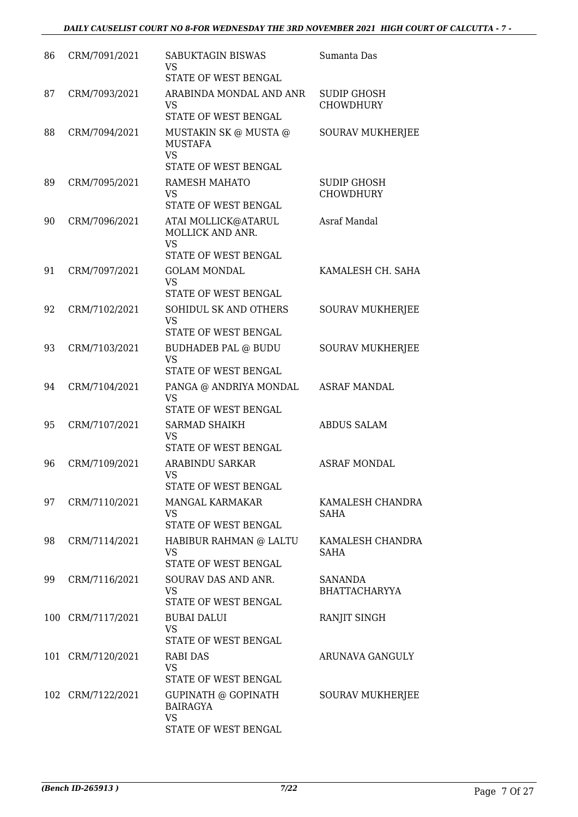| 86 | CRM/7091/2021     | SABUKTAGIN BISWAS<br>VS<br>STATE OF WEST BENGAL                              | Sumanta Das                            |
|----|-------------------|------------------------------------------------------------------------------|----------------------------------------|
| 87 | CRM/7093/2021     | ARABINDA MONDAL AND ANR<br>VS<br><b>STATE OF WEST BENGAL</b>                 | <b>SUDIP GHOSH</b><br><b>CHOWDHURY</b> |
| 88 | CRM/7094/2021     | MUSTAKIN SK @ MUSTA @<br><b>MUSTAFA</b><br><b>VS</b><br>STATE OF WEST BENGAL | SOURAV MUKHERJEE                       |
| 89 | CRM/7095/2021     | RAMESH MAHATO<br>VS<br>STATE OF WEST BENGAL                                  | <b>SUDIP GHOSH</b><br><b>CHOWDHURY</b> |
| 90 | CRM/7096/2021     | ATAI MOLLICK@ATARUL<br>MOLLICK AND ANR.<br><b>VS</b><br>STATE OF WEST BENGAL | Asraf Mandal                           |
| 91 | CRM/7097/2021     | <b>GOLAM MONDAL</b><br><b>VS</b><br>STATE OF WEST BENGAL                     | KAMALESH CH. SAHA                      |
| 92 | CRM/7102/2021     | SOHIDUL SK AND OTHERS<br>VS<br>STATE OF WEST BENGAL                          | <b>SOURAV MUKHERJEE</b>                |
| 93 | CRM/7103/2021     | <b>BUDHADEB PAL @ BUDU</b><br><b>VS</b><br>STATE OF WEST BENGAL              | <b>SOURAV MUKHERJEE</b>                |
| 94 | CRM/7104/2021     | PANGA @ ANDRIYA MONDAL<br><b>VS</b><br>STATE OF WEST BENGAL                  | <b>ASRAF MANDAL</b>                    |
| 95 | CRM/7107/2021     | <b>SARMAD SHAIKH</b><br>VS<br>STATE OF WEST BENGAL                           | <b>ABDUS SALAM</b>                     |
| 96 | CRM/7109/2021     | <b>ARABINDU SARKAR</b><br><b>VS</b><br>STATE OF WEST BENGAL                  | <b>ASRAF MONDAL</b>                    |
| 97 | CRM/7110/2021     | MANGAL KARMAKAR<br><b>VS</b><br>STATE OF WEST BENGAL                         | KAMALESH CHANDRA<br><b>SAHA</b>        |
| 98 | CRM/7114/2021     | HABIBUR RAHMAN @ LALTU<br>VS<br>STATE OF WEST BENGAL                         | KAMALESH CHANDRA<br><b>SAHA</b>        |
| 99 | CRM/7116/2021     | SOURAV DAS AND ANR.<br><b>VS</b><br>STATE OF WEST BENGAL                     | <b>SANANDA</b><br><b>BHATTACHARYYA</b> |
|    | 100 CRM/7117/2021 | BUBAI DALUI<br><b>VS</b><br>STATE OF WEST BENGAL                             | RANJIT SINGH                           |
|    | 101 CRM/7120/2021 | RABI DAS<br><b>VS</b><br>STATE OF WEST BENGAL                                | ARUNAVA GANGULY                        |
|    | 102 CRM/7122/2021 | GUPINATH @ GOPINATH<br><b>BAIRAGYA</b><br><b>VS</b><br>STATE OF WEST BENGAL  | SOURAV MUKHERJEE                       |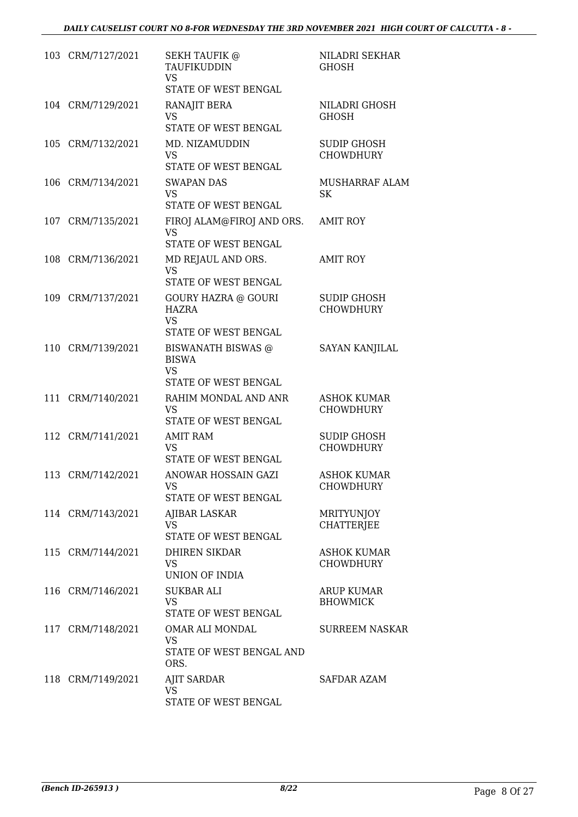| 103 CRM/7127/2021 | <b>SEKH TAUFIK @</b><br>TAUFIKUDDIN<br><b>VS</b><br>STATE OF WEST BENGAL        | NILADRI SEKHAR<br><b>GHOSH</b>         |
|-------------------|---------------------------------------------------------------------------------|----------------------------------------|
| 104 CRM/7129/2021 | RANAJIT BERA<br><b>VS</b><br>STATE OF WEST BENGAL                               | NILADRI GHOSH<br><b>GHOSH</b>          |
| 105 CRM/7132/2021 | MD. NIZAMUDDIN<br>VS<br>STATE OF WEST BENGAL                                    | <b>SUDIP GHOSH</b><br><b>CHOWDHURY</b> |
| 106 CRM/7134/2021 | <b>SWAPAN DAS</b><br>VS.<br>STATE OF WEST BENGAL                                | MUSHARRAF ALAM<br>SK                   |
| 107 CRM/7135/2021 | FIROJ ALAM@FIROJ AND ORS.<br>VS<br>STATE OF WEST BENGAL                         | AMIT ROY                               |
| 108 CRM/7136/2021 | MD REJAUL AND ORS.<br><b>VS</b><br>STATE OF WEST BENGAL                         | <b>AMIT ROY</b>                        |
| 109 CRM/7137/2021 | <b>GOURY HAZRA @ GOURI</b><br><b>HAZRA</b><br><b>VS</b><br>STATE OF WEST BENGAL | <b>SUDIP GHOSH</b><br><b>CHOWDHURY</b> |
| 110 CRM/7139/2021 | BISWANATH BISWAS @<br><b>BISWA</b><br>VS<br>STATE OF WEST BENGAL                | <b>SAYAN KANJILAL</b>                  |
| 111 CRM/7140/2021 | RAHIM MONDAL AND ANR<br><b>VS</b><br>STATE OF WEST BENGAL                       | <b>ASHOK KUMAR</b><br><b>CHOWDHURY</b> |
| 112 CRM/7141/2021 | <b>AMIT RAM</b><br>VS<br>STATE OF WEST BENGAL                                   | <b>SUDIP GHOSH</b><br><b>CHOWDHURY</b> |
| 113 CRM/7142/2021 | ANOWAR HOSSAIN GAZI<br><b>VS</b><br>STATE OF WEST BENGAL                        | <b>ASHOK KUMAR</b><br><b>CHOWDHURY</b> |
| 114 CRM/7143/2021 | AJIBAR LASKAR<br><b>VS</b><br>STATE OF WEST BENGAL                              | <b>MRITYUNJOY</b><br><b>CHATTERJEE</b> |
| 115 CRM/7144/2021 | <b>DHIREN SIKDAR</b><br>VS<br>UNION OF INDIA                                    | <b>ASHOK KUMAR</b><br><b>CHOWDHURY</b> |
| 116 CRM/7146/2021 | SUKBAR ALI<br><b>VS</b><br>STATE OF WEST BENGAL                                 | <b>ARUP KUMAR</b><br><b>BHOWMICK</b>   |
| 117 CRM/7148/2021 | OMAR ALI MONDAL<br>VS<br>STATE OF WEST BENGAL AND<br>ORS.                       | SURREEM NASKAR                         |
| 118 CRM/7149/2021 | <b>AJIT SARDAR</b><br>VS<br>STATE OF WEST BENGAL                                | SAFDAR AZAM                            |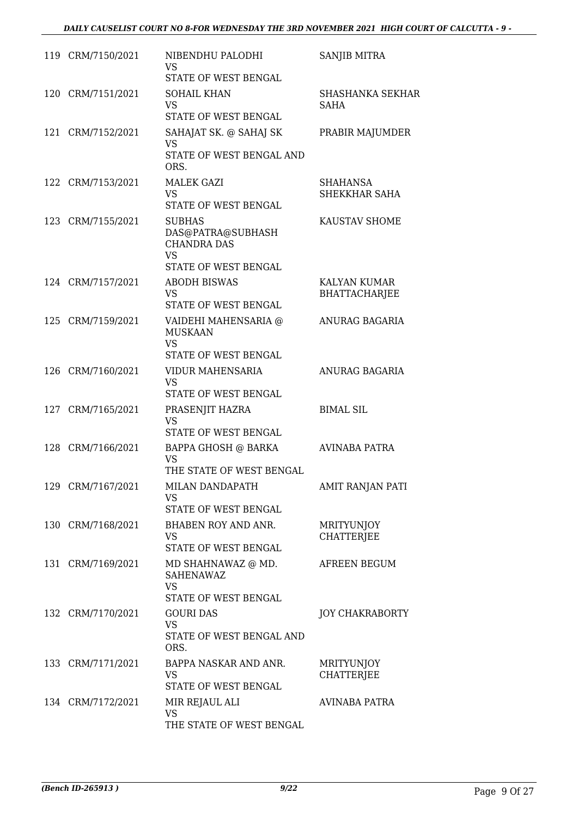| 119 CRM/7150/2021 | NIBENDHU PALODHI                        | <b>SANJIB MITRA</b>                    |
|-------------------|-----------------------------------------|----------------------------------------|
|                   | VS<br>STATE OF WEST BENGAL              |                                        |
| 120 CRM/7151/2021 | <b>SOHAIL KHAN</b>                      | <b>SHASHANKA SEKHAR</b>                |
|                   | <b>VS</b>                               | <b>SAHA</b>                            |
|                   | STATE OF WEST BENGAL                    |                                        |
| 121 CRM/7152/2021 | SAHAJAT SK. @ SAHAJ SK                  | PRABIR MAJUMDER                        |
|                   | <b>VS</b>                               |                                        |
|                   | STATE OF WEST BENGAL AND<br>ORS.        |                                        |
| 122 CRM/7153/2021 | <b>MALEK GAZI</b>                       | SHAHANSA                               |
|                   | <b>VS</b>                               | SHEKKHAR SAHA                          |
|                   | STATE OF WEST BENGAL                    |                                        |
| 123 CRM/7155/2021 | <b>SUBHAS</b>                           | KAUSTAV SHOME                          |
|                   | DAS@PATRA@SUBHASH<br><b>CHANDRA DAS</b> |                                        |
|                   | <b>VS</b>                               |                                        |
|                   | STATE OF WEST BENGAL                    |                                        |
| 124 CRM/7157/2021 | <b>ABODH BISWAS</b>                     | <b>KALYAN KUMAR</b>                    |
|                   | VS                                      | <b>BHATTACHARJEE</b>                   |
|                   | STATE OF WEST BENGAL                    |                                        |
| 125 CRM/7159/2021 | VAIDEHI MAHENSARIA @                    | ANURAG BAGARIA                         |
|                   | <b>MUSKAAN</b><br><b>VS</b>             |                                        |
|                   | STATE OF WEST BENGAL                    |                                        |
| 126 CRM/7160/2021 | VIDUR MAHENSARIA                        | ANURAG BAGARIA                         |
|                   | <b>VS</b>                               |                                        |
|                   | STATE OF WEST BENGAL                    |                                        |
| 127 CRM/7165/2021 | PRASENJIT HAZRA                         | <b>BIMAL SIL</b>                       |
|                   | <b>VS</b><br>STATE OF WEST BENGAL       |                                        |
| 128 CRM/7166/2021 | BAPPA GHOSH @ BARKA                     | AVINABA PATRA                          |
|                   | VS                                      |                                        |
|                   | THE STATE OF WEST BENGAL                |                                        |
| 129 CRM/7167/2021 | MILAN DANDAPATH                         | AMIT RANJAN PATI                       |
|                   | <b>VS</b><br>STATE OF WEST BENGAL       |                                        |
|                   |                                         |                                        |
| 130 CRM/7168/2021 | BHABEN ROY AND ANR.<br><b>VS</b>        | <b>MRITYUNJOY</b><br><b>CHATTERJEE</b> |
|                   | STATE OF WEST BENGAL                    |                                        |
| 131 CRM/7169/2021 | MD SHAHNAWAZ @ MD.                      | AFREEN BEGUM                           |
|                   | SAHENAWAZ                               |                                        |
|                   | <b>VS</b><br>STATE OF WEST BENGAL       |                                        |
| 132 CRM/7170/2021 | <b>GOURI DAS</b>                        | JOY CHAKRABORTY                        |
|                   | <b>VS</b>                               |                                        |
|                   | STATE OF WEST BENGAL AND                |                                        |
|                   | ORS.                                    |                                        |
| 133 CRM/7171/2021 | BAPPA NASKAR AND ANR.                   | MRITYUNJOY                             |
|                   | VS<br>STATE OF WEST BENGAL              | <b>CHATTERJEE</b>                      |
|                   |                                         |                                        |
| 134 CRM/7172/2021 | MIR REJAUL ALI<br><b>VS</b>             | AVINABA PATRA                          |
|                   | THE STATE OF WEST BENGAL                |                                        |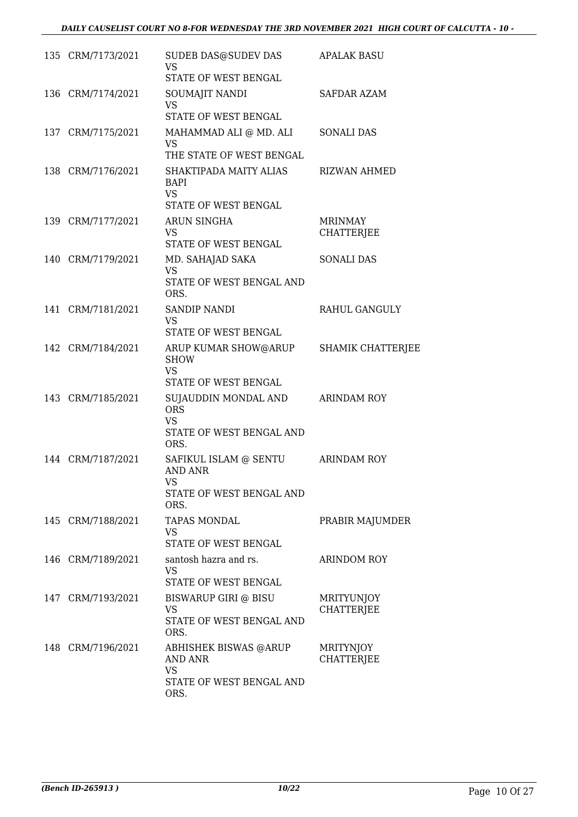| 135 CRM/7173/2021 | SUDEB DAS@SUDEV DAS<br><b>VS</b><br>STATE OF WEST BENGAL                                        | <b>APALAK BASU</b>                    |
|-------------------|-------------------------------------------------------------------------------------------------|---------------------------------------|
| 136 CRM/7174/2021 | SOUMAJIT NANDI<br><b>VS</b><br>STATE OF WEST BENGAL                                             | SAFDAR AZAM                           |
| 137 CRM/7175/2021 | MAHAMMAD ALI @ MD. ALI<br>VS<br>THE STATE OF WEST BENGAL                                        | SONALI DAS                            |
| 138 CRM/7176/2021 | SHAKTIPADA MAITY ALIAS<br><b>BAPI</b><br><b>VS</b><br>STATE OF WEST BENGAL                      | <b>RIZWAN AHMED</b>                   |
| 139 CRM/7177/2021 | ARUN SINGHA<br>VS<br><b>STATE OF WEST BENGAL</b>                                                | <b>MRINMAY</b><br><b>CHATTERJEE</b>   |
| 140 CRM/7179/2021 | MD. SAHAJAD SAKA<br><b>VS</b><br>STATE OF WEST BENGAL AND<br>ORS.                               | <b>SONALI DAS</b>                     |
| 141 CRM/7181/2021 | <b>SANDIP NANDI</b><br><b>VS</b><br>STATE OF WEST BENGAL                                        | RAHUL GANGULY                         |
| 142 CRM/7184/2021 | ARUP KUMAR SHOW@ARUP<br><b>SHOW</b><br>VS<br>STATE OF WEST BENGAL                               | <b>SHAMIK CHATTERJEE</b>              |
| 143 CRM/7185/2021 | SUJAUDDIN MONDAL AND ARINDAM ROY<br><b>ORS</b><br><b>VS</b><br>STATE OF WEST BENGAL AND<br>ORS. |                                       |
| 144 CRM/7187/2021 | SAFIKUL ISLAM @ SENTU<br><b>AND ANR</b><br>VS<br>STATE OF WEST BENGAL AND<br>ORS.               | <b>ARINDAM ROY</b>                    |
| 145 CRM/7188/2021 | <b>TAPAS MONDAL</b><br><b>VS</b><br>STATE OF WEST BENGAL                                        | PRABIR MAJUMDER                       |
| 146 CRM/7189/2021 | santosh hazra and rs.<br>VS<br>STATE OF WEST BENGAL                                             | <b>ARINDOM ROY</b>                    |
| 147 CRM/7193/2021 | BISWARUP GIRI @ BISU<br>VS<br>STATE OF WEST BENGAL AND<br>ORS.                                  | MRITYUNJOY<br><b>CHATTERJEE</b>       |
| 148 CRM/7196/2021 | ABHISHEK BISWAS @ARUP<br>AND ANR<br>VS<br>STATE OF WEST BENGAL AND<br>ORS.                      | <b>MRITYNJOY</b><br><b>CHATTERJEE</b> |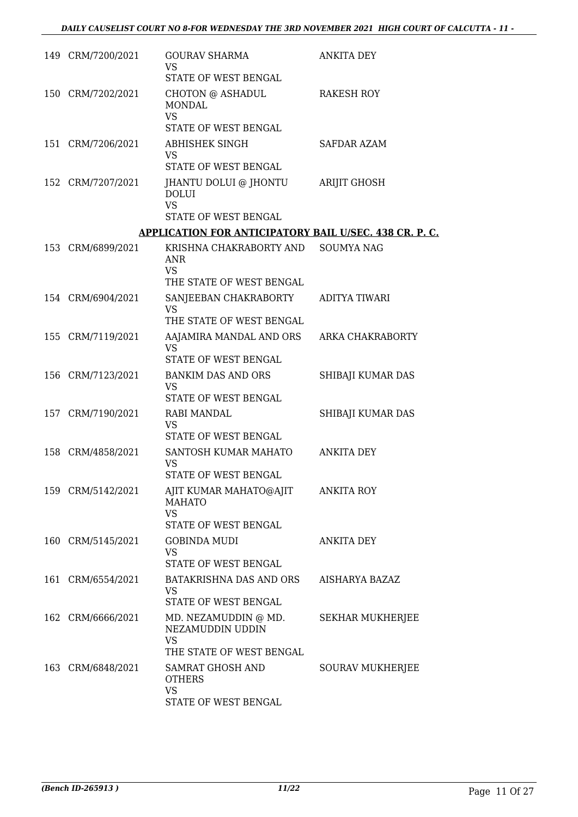| 149 CRM/7200/2021 | <b>GOURAV SHARMA</b><br><b>VS</b><br>STATE OF WEST BENGAL                                          | <b>ANKITA DEY</b>       |
|-------------------|----------------------------------------------------------------------------------------------------|-------------------------|
| 150 CRM/7202/2021 | CHOTON @ ASHADUL<br><b>MONDAL</b><br><b>VS</b>                                                     | <b>RAKESH ROY</b>       |
|                   | STATE OF WEST BENGAL                                                                               |                         |
| 151 CRM/7206/2021 | ABHISHEK SINGH<br><b>VS</b><br>STATE OF WEST BENGAL                                                | <b>SAFDAR AZAM</b>      |
| 152 CRM/7207/2021 | JHANTU DOLUI @ JHONTU<br><b>DOLUI</b><br><b>VS</b><br>STATE OF WEST BENGAL                         | ARIJIT GHOSH            |
|                   | <b>APPLICATION FOR ANTICIPATORY BAIL U/SEC. 438 CR. P. C.</b>                                      |                         |
| 153 CRM/6899/2021 | KRISHNA CHAKRABORTY AND<br>ANR<br><b>VS</b><br>THE STATE OF WEST BENGAL                            | <b>SOUMYA NAG</b>       |
| 154 CRM/6904/2021 | SANJEEBAN CHAKRABORTY                                                                              | ADITYA TIWARI           |
|                   | VS<br>THE STATE OF WEST BENGAL                                                                     |                         |
| 155 CRM/7119/2021 | AAJAMIRA MANDAL AND ORS<br>VS.                                                                     | ARKA CHAKRABORTY        |
| 156 CRM/7123/2021 | STATE OF WEST BENGAL<br><b>BANKIM DAS AND ORS</b>                                                  | SHIBAJI KUMAR DAS       |
|                   | <b>VS</b><br>STATE OF WEST BENGAL                                                                  |                         |
| 157 CRM/7190/2021 | <b>RABI MANDAL</b><br>VS<br>STATE OF WEST BENGAL                                                   | SHIBAJI KUMAR DAS       |
| 158 CRM/4858/2021 | SANTOSH KUMAR MAHATO<br>VS<br>STATE OF WEST BENGAL                                                 | ANKITA DEY              |
| 159 CRM/5142/2021 | AJIT KUMAR MAHATO@AJIT<br><b>MAHATO</b><br><b>VS</b>                                               | <b>ANKITA ROY</b>       |
|                   | STATE OF WEST BENGAL                                                                               |                         |
| 160 CRM/5145/2021 | <b>GOBINDA MUDI</b><br><b>VS</b><br>STATE OF WEST BENGAL                                           | <b>ANKITA DEY</b>       |
| 161 CRM/6554/2021 | BATAKRISHNA DAS AND ORS<br><b>VS</b><br>STATE OF WEST BENGAL                                       | AISHARYA BAZAZ          |
| 162 CRM/6666/2021 | MD. NEZAMUDDIN @ MD.<br>NEZAMUDDIN UDDIN<br><b>VS</b>                                              | <b>SEKHAR MUKHERJEE</b> |
| 163 CRM/6848/2021 | THE STATE OF WEST BENGAL<br>SAMRAT GHOSH AND<br><b>OTHERS</b><br><b>VS</b><br>STATE OF WEST BENGAL | <b>SOURAV MUKHERJEE</b> |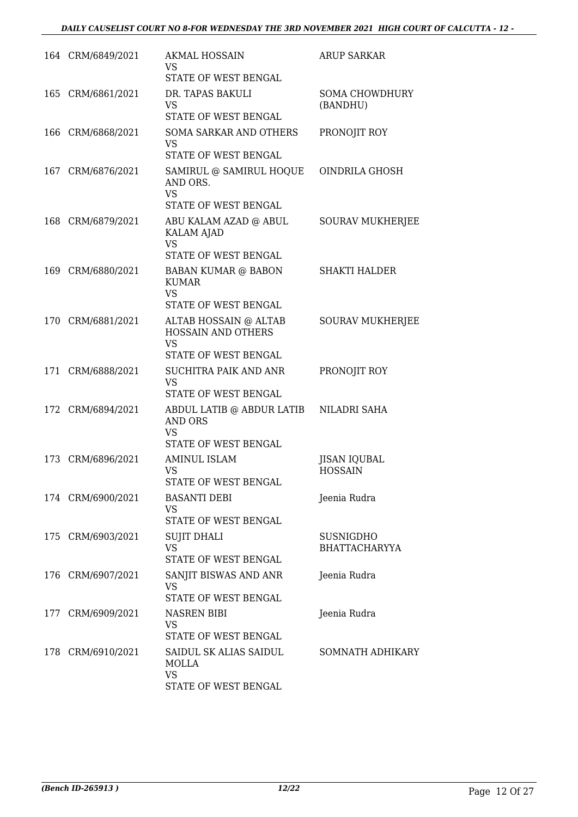|     | 164 CRM/6849/2021 | <b>AKMAL HOSSAIN</b><br>VS                                                             | <b>ARUP SARKAR</b>                |
|-----|-------------------|----------------------------------------------------------------------------------------|-----------------------------------|
|     |                   | STATE OF WEST BENGAL                                                                   |                                   |
|     | 165 CRM/6861/2021 | DR. TAPAS BAKULI<br><b>VS</b><br>STATE OF WEST BENGAL                                  | <b>SOMA CHOWDHURY</b><br>(BANDHU) |
|     |                   |                                                                                        |                                   |
|     | 166 CRM/6868/2021 | <b>SOMA SARKAR AND OTHERS</b><br><b>VS</b><br>STATE OF WEST BENGAL                     | PRONOJIT ROY                      |
|     | 167 CRM/6876/2021 | SAMIRUL @ SAMIRUL HOQUE<br>AND ORS.                                                    | OINDRILA GHOSH                    |
|     |                   | <b>VS</b><br>STATE OF WEST BENGAL                                                      |                                   |
| 168 | CRM/6879/2021     | ABU KALAM AZAD @ ABUL<br><b>KALAM AJAD</b><br><b>VS</b>                                | <b>SOURAV MUKHERJEE</b>           |
|     |                   | STATE OF WEST BENGAL                                                                   |                                   |
|     | 169 CRM/6880/2021 | <b>BABAN KUMAR @ BABON</b><br><b>KUMAR</b><br>VS.<br>STATE OF WEST BENGAL              | <b>SHAKTI HALDER</b>              |
|     | 170 CRM/6881/2021 | ALTAB HOSSAIN @ ALTAB                                                                  | <b>SOURAV MUKHERJEE</b>           |
|     |                   | <b>HOSSAIN AND OTHERS</b><br><b>VS</b>                                                 |                                   |
|     |                   | STATE OF WEST BENGAL                                                                   |                                   |
|     | 171 CRM/6888/2021 | SUCHITRA PAIK AND ANR<br><b>VS</b><br>STATE OF WEST BENGAL                             | PRONOJIT ROY                      |
|     | 172 CRM/6894/2021 | ABDUL LATIB @ ABDUR LATIB NILADRI SAHA<br><b>AND ORS</b><br>VS<br>STATE OF WEST BENGAL |                                   |
|     |                   |                                                                                        |                                   |
|     | 173 CRM/6896/2021 | <b>AMINUL ISLAM</b><br>VS<br>STATE OF WEST BENGAL                                      | JISAN IQUBAL<br><b>HOSSAIN</b>    |
|     | 174 CRM/6900/2021 | <b>BASANTI DEBI</b><br>VS.<br>STATE OF WEST BENGAL                                     | Jeenia Rudra                      |
|     | 175 CRM/6903/2021 | <b>SUJIT DHALI</b>                                                                     | <b>SUSNIGDHO</b>                  |
|     |                   | VS.<br>STATE OF WEST BENGAL                                                            | <b>BHATTACHARYYA</b>              |
|     | 176 CRM/6907/2021 | SANJIT BISWAS AND ANR<br>VS<br>STATE OF WEST BENGAL                                    | Jeenia Rudra                      |
| 177 | CRM/6909/2021     | NASREN BIBI<br>VS.                                                                     | Jeenia Rudra                      |
|     |                   | STATE OF WEST BENGAL                                                                   |                                   |
|     | 178 CRM/6910/2021 | SAIDUL SK ALIAS SAIDUL<br><b>MOLLA</b><br><b>VS</b><br>STATE OF WEST BENGAL            | SOMNATH ADHIKARY                  |
|     |                   |                                                                                        |                                   |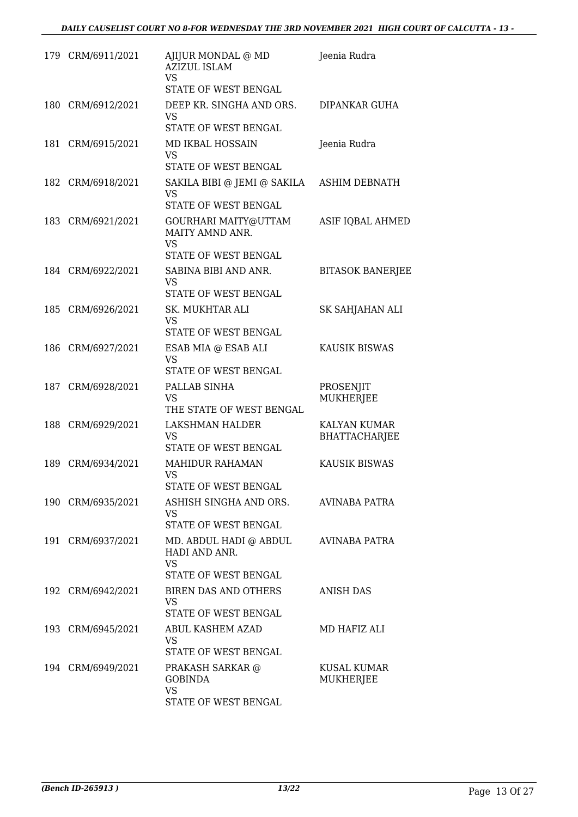|      | 179 CRM/6911/2021 | AJIJUR MONDAL @ MD<br><b>AZIZUL ISLAM</b><br>VS.<br>STATE OF WEST BENGAL     | Jeenia Rudra                         |
|------|-------------------|------------------------------------------------------------------------------|--------------------------------------|
| 180- | CRM/6912/2021     | DEEP KR. SINGHA AND ORS.<br><b>VS</b><br>STATE OF WEST BENGAL                | DIPANKAR GUHA                        |
| 181  | CRM/6915/2021     | <b>MD IKBAL HOSSAIN</b><br>VS<br>STATE OF WEST BENGAL                        | Jeenia Rudra                         |
|      | 182 CRM/6918/2021 | SAKILA BIBI @ JEMI @ SAKILA<br><b>VS</b><br>STATE OF WEST BENGAL             | <b>ASHIM DEBNATH</b>                 |
|      | 183 CRM/6921/2021 | GOURHARI MAITY@UTTAM<br>MAITY AMND ANR.<br><b>VS</b><br>STATE OF WEST BENGAL | ASIF IQBAL AHMED                     |
|      | 184 CRM/6922/2021 | SABINA BIBI AND ANR.<br><b>VS</b><br>STATE OF WEST BENGAL                    | <b>BITASOK BANERJEE</b>              |
|      | 185 CRM/6926/2021 | <b>SK. MUKHTAR ALI</b><br><b>VS</b><br>STATE OF WEST BENGAL                  | SK SAHJAHAN ALI                      |
|      | 186 CRM/6927/2021 | ESAB MIA @ ESAB ALI<br><b>VS</b><br>STATE OF WEST BENGAL                     | <b>KAUSIK BISWAS</b>                 |
| 187  | CRM/6928/2021     | PALLAB SINHA<br><b>VS</b><br>THE STATE OF WEST BENGAL                        | PROSENJIT<br>MUKHERJEE               |
| 188  | CRM/6929/2021     | LAKSHMAN HALDER<br>VS<br>STATE OF WEST BENGAL                                | KALYAN KUMAR<br><b>BHATTACHARJEE</b> |
| 189  | CRM/6934/2021     | <b>MAHIDUR RAHAMAN</b><br><b>VS</b><br>STATE OF WEST BENGAL                  | <b>KAUSIK BISWAS</b>                 |
|      | 190 CRM/6935/2021 | ASHISH SINGHA AND ORS.<br><b>VS</b><br>STATE OF WEST BENGAL                  | AVINABA PATRA                        |
|      | 191 CRM/6937/2021 | MD. ABDUL HADI @ ABDUL<br>HADI AND ANR.<br><b>VS</b><br>STATE OF WEST BENGAL | AVINABA PATRA                        |
|      | 192 CRM/6942/2021 | BIREN DAS AND OTHERS<br>VS.<br>STATE OF WEST BENGAL                          | <b>ANISH DAS</b>                     |
|      | 193 CRM/6945/2021 | ABUL KASHEM AZAD<br><b>VS</b><br>STATE OF WEST BENGAL                        | MD HAFIZ ALI                         |
|      | 194 CRM/6949/2021 | PRAKASH SARKAR @<br><b>GOBINDA</b><br><b>VS</b><br>STATE OF WEST BENGAL      | KUSAL KUMAR<br>MUKHERJEE             |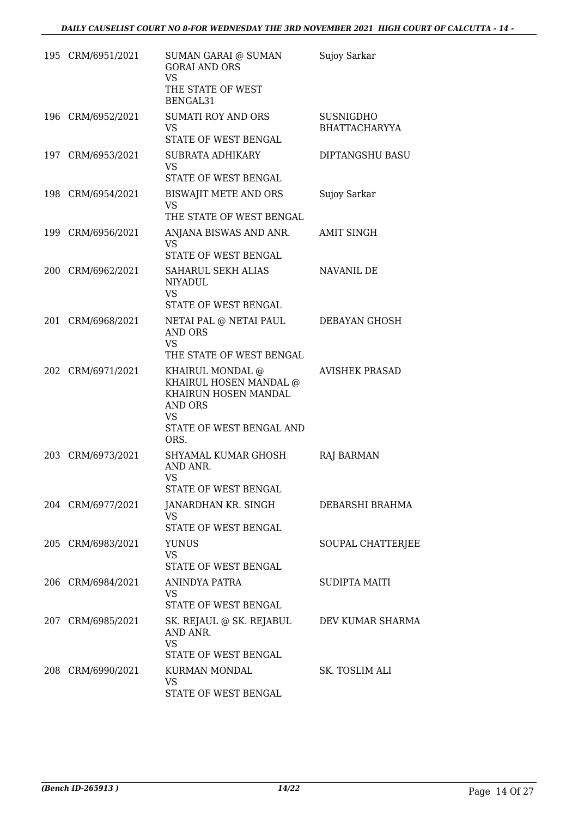| 195 CRM/6951/2021 | SUMAN GARAI @ SUMAN<br><b>GORAI AND ORS</b><br><b>VS</b><br>THE STATE OF WEST<br>BENGAL31                               | Sujoy Sarkar                             |
|-------------------|-------------------------------------------------------------------------------------------------------------------------|------------------------------------------|
| 196 CRM/6952/2021 | <b>SUMATI ROY AND ORS</b><br>VS.<br>STATE OF WEST BENGAL                                                                | <b>SUSNIGDHO</b><br><b>BHATTACHARYYA</b> |
| 197 CRM/6953/2021 | SUBRATA ADHIKARY<br><b>VS</b><br>STATE OF WEST BENGAL                                                                   | DIPTANGSHU BASU                          |
| 198 CRM/6954/2021 | BISWAJIT METE AND ORS<br>VS<br>THE STATE OF WEST BENGAL                                                                 | Sujoy Sarkar                             |
| 199 CRM/6956/2021 | ANJANA BISWAS AND ANR.<br><b>VS</b><br>STATE OF WEST BENGAL                                                             | AMIT SINGH                               |
| 200 CRM/6962/2021 | SAHARUL SEKH ALIAS<br><b>NIYADUL</b><br><b>VS</b><br>STATE OF WEST BENGAL                                               | NAVANIL DE                               |
| 201 CRM/6968/2021 | NETAI PAL @ NETAI PAUL<br><b>AND ORS</b><br><b>VS</b><br>THE STATE OF WEST BENGAL                                       | DEBAYAN GHOSH                            |
| 202 CRM/6971/2021 | KHAIRUL MONDAL @<br>KHAIRUL HOSEN MANDAL @<br>KHAIRUN HOSEN MANDAL<br>AND ORS<br>VS<br>STATE OF WEST BENGAL AND<br>ORS. | <b>AVISHEK PRASAD</b>                    |
| 203 CRM/6973/2021 | SHYAMAL KUMAR GHOSH<br>AND ANR.<br>VS<br>STATE OF WEST BENGAL                                                           | RAJ BARMAN                               |
| 204 CRM/6977/2021 | JANARDHAN KR. SINGH<br>VS.<br>STATE OF WEST BENGAL                                                                      | DEBARSHI BRAHMA                          |
| 205 CRM/6983/2021 | <b>YUNUS</b><br>VS<br>STATE OF WEST BENGAL                                                                              | SOUPAL CHATTERJEE                        |
| 206 CRM/6984/2021 | ANINDYA PATRA<br>VS<br>STATE OF WEST BENGAL                                                                             | SUDIPTA MAITI                            |
| 207 CRM/6985/2021 | SK. REJAUL @ SK. REJABUL DEV KUMAR SHARMA<br>AND ANR.<br><b>VS</b><br>STATE OF WEST BENGAL                              |                                          |
| 208 CRM/6990/2021 | KURMAN MONDAL<br>VS<br>STATE OF WEST BENGAL                                                                             | SK. TOSLIM ALI                           |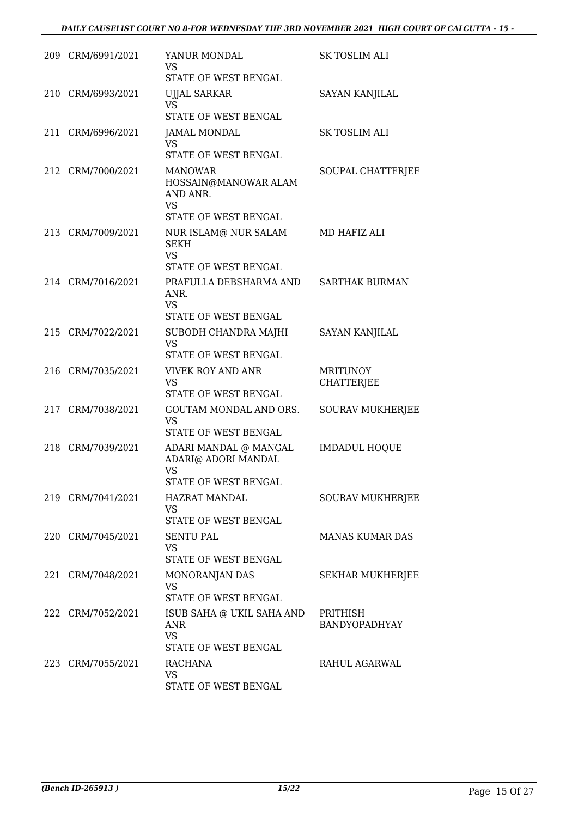| 209 CRM/6991/2021 | YANUR MONDAL<br>VS<br>STATE OF WEST BENGAL                                              | <b>SK TOSLIM ALI</b>                 |
|-------------------|-----------------------------------------------------------------------------------------|--------------------------------------|
| 210 CRM/6993/2021 | <b>UJJAL SARKAR</b><br><b>VS</b><br>STATE OF WEST BENGAL                                | SAYAN KANJILAL                       |
| 211 CRM/6996/2021 | <b>JAMAL MONDAL</b><br><b>VS</b><br>STATE OF WEST BENGAL                                | <b>SK TOSLIM ALI</b>                 |
| 212 CRM/7000/2021 | <b>MANOWAR</b><br>HOSSAIN@MANOWAR ALAM<br>AND ANR.<br><b>VS</b><br>STATE OF WEST BENGAL | SOUPAL CHATTERJEE                    |
| 213 CRM/7009/2021 | NUR ISLAM@ NUR SALAM<br><b>SEKH</b><br><b>VS</b><br>STATE OF WEST BENGAL                | MD HAFIZ ALI                         |
| 214 CRM/7016/2021 | PRAFULLA DEBSHARMA AND<br>ANR.<br><b>VS</b><br>STATE OF WEST BENGAL                     | <b>SARTHAK BURMAN</b>                |
| 215 CRM/7022/2021 | SUBODH CHANDRA MAJHI<br>VS<br>STATE OF WEST BENGAL                                      | <b>SAYAN KANJILAL</b>                |
| 216 CRM/7035/2021 | <b>VIVEK ROY AND ANR</b><br><b>VS</b><br>STATE OF WEST BENGAL                           | <b>MRITUNOY</b><br><b>CHATTERJEE</b> |
| 217 CRM/7038/2021 | GOUTAM MONDAL AND ORS.<br><b>VS</b><br>STATE OF WEST BENGAL                             | <b>SOURAV MUKHERJEE</b>              |
| 218 CRM/7039/2021 | ADARI MANDAL @ MANGAL<br>ADARI@ ADORI MANDAL<br><b>VS</b><br>STATE OF WEST BENGAL       | <b>IMDADUL HOQUE</b>                 |
| 219 CRM/7041/2021 | HAZRAT MANDAL<br>VS<br>STATE OF WEST BENGAL                                             | SOURAV MUKHERJEE                     |
| 220 CRM/7045/2021 | <b>SENTU PAL</b><br>VS<br>STATE OF WEST BENGAL                                          | <b>MANAS KUMAR DAS</b>               |
| 221 CRM/7048/2021 | MONORANJAN DAS<br>VS<br>STATE OF WEST BENGAL                                            | <b>SEKHAR MUKHERJEE</b>              |
| 222 CRM/7052/2021 | ISUB SAHA @ UKIL SAHA AND<br>ANR<br><b>VS</b><br>STATE OF WEST BENGAL                   | PRITHISH<br>BANDYOPADHYAY            |
| 223 CRM/7055/2021 | RACHANA<br>VS<br>STATE OF WEST BENGAL                                                   | RAHUL AGARWAL                        |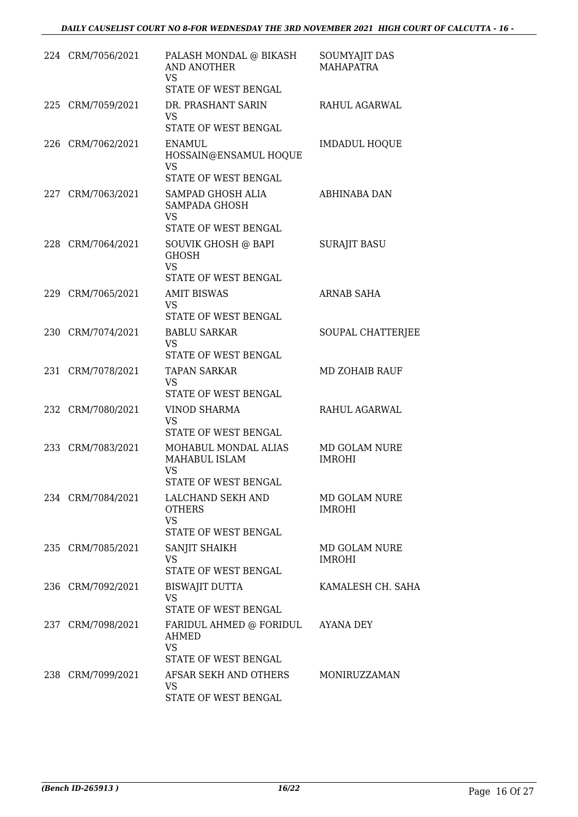|     | 224 CRM/7056/2021 | PALASH MONDAL @ BIKASH<br><b>AND ANOTHER</b><br>VS.<br>STATE OF WEST BENGAL     | SOUMYAJIT DAS<br><b>MAHAPATRA</b> |
|-----|-------------------|---------------------------------------------------------------------------------|-----------------------------------|
| 225 | CRM/7059/2021     | DR. PRASHANT SARIN<br><b>VS</b><br>STATE OF WEST BENGAL                         | RAHUL AGARWAL                     |
|     | 226 CRM/7062/2021 | ENAMUL.<br>HOSSAIN@ENSAMUL HOQUE<br><b>VS</b><br>STATE OF WEST BENGAL           | <b>IMDADUL HOQUE</b>              |
|     | 227 CRM/7063/2021 | SAMPAD GHOSH ALIA<br>SAMPADA GHOSH<br><b>VS</b><br>STATE OF WEST BENGAL         | ABHINABA DAN                      |
|     | 228 CRM/7064/2021 | SOUVIK GHOSH @ BAPI<br><b>GHOSH</b><br>VS<br>STATE OF WEST BENGAL               | <b>SURAJIT BASU</b>               |
|     | 229 CRM/7065/2021 | <b>AMIT BISWAS</b><br>VS<br>STATE OF WEST BENGAL                                | <b>ARNAB SAHA</b>                 |
|     | 230 CRM/7074/2021 | <b>BABLU SARKAR</b><br>VS.<br>STATE OF WEST BENGAL                              | SOUPAL CHATTERJEE                 |
|     | 231 CRM/7078/2021 | <b>TAPAN SARKAR</b><br><b>VS</b><br>STATE OF WEST BENGAL                        | <b>MD ZOHAIB RAUF</b>             |
|     | 232 CRM/7080/2021 | <b>VINOD SHARMA</b><br><b>VS</b><br>STATE OF WEST BENGAL                        | RAHUL AGARWAL                     |
|     | 233 CRM/7083/2021 | MOHABUL MONDAL ALIAS<br>MAHABUL ISLAM<br>VS<br>STATE OF WEST BENGAL             | MD GOLAM NURE<br><b>IMROHI</b>    |
|     | 234 CRM/7084/2021 | LALCHAND SEKH AND<br><b>OTHERS</b><br><b>VS</b><br>STATE OF WEST BENGAL         | MD GOLAM NURE<br><b>IMROHI</b>    |
|     | 235 CRM/7085/2021 | SANJIT SHAIKH<br>VS.<br>STATE OF WEST BENGAL                                    | MD GOLAM NURE<br><b>IMROHI</b>    |
|     | 236 CRM/7092/2021 | <b>BISWAJIT DUTTA</b><br><b>VS</b><br>STATE OF WEST BENGAL                      | KAMALESH CH. SAHA                 |
|     | 237 CRM/7098/2021 | FARIDUL AHMED @ FORIDUL AYANA DEY<br>AHMED<br><b>VS</b><br>STATE OF WEST BENGAL |                                   |
|     | 238 CRM/7099/2021 | AFSAR SEKH AND OTHERS<br>VS.<br>STATE OF WEST BENGAL                            | MONIRUZZAMAN                      |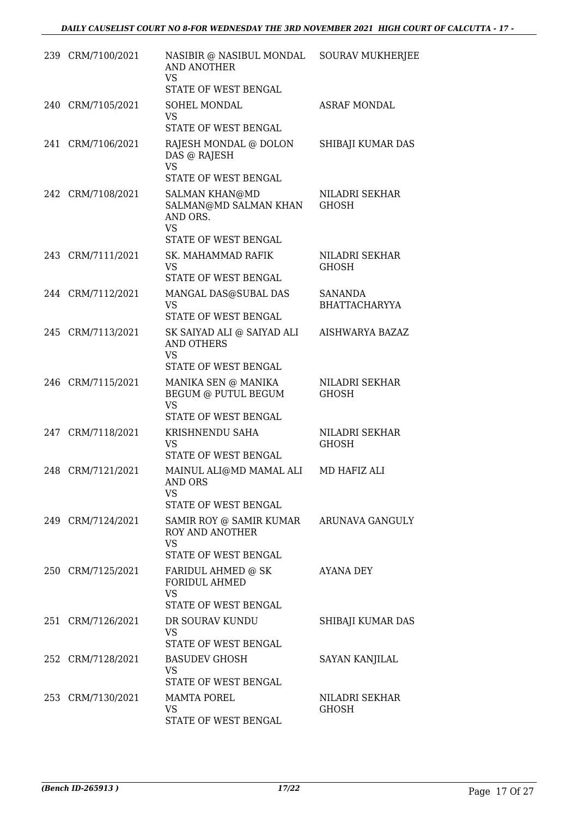| 239 CRM/7100/2021 | NASIBIR @ NASIBUL MONDAL SOURAV MUKHERJEE<br>AND ANOTHER<br><b>VS</b><br>STATE OF WEST BENGAL   |                                        |
|-------------------|-------------------------------------------------------------------------------------------------|----------------------------------------|
| 240 CRM/7105/2021 | SOHEL MONDAL<br>VS.<br>STATE OF WEST BENGAL                                                     | <b>ASRAF MONDAL</b>                    |
| 241 CRM/7106/2021 | RAJESH MONDAL @ DOLON<br>DAS @ RAJESH<br><b>VS</b><br>STATE OF WEST BENGAL                      | SHIBAJI KUMAR DAS                      |
| 242 CRM/7108/2021 | <b>SALMAN KHAN@MD</b><br>SALMAN@MD SALMAN KHAN<br>AND ORS.<br><b>VS</b><br>STATE OF WEST BENGAL | NILADRI SEKHAR<br><b>GHOSH</b>         |
| 243 CRM/7111/2021 | SK. MAHAMMAD RAFIK<br><b>VS</b><br>STATE OF WEST BENGAL                                         | NILADRI SEKHAR<br><b>GHOSH</b>         |
| 244 CRM/7112/2021 | MANGAL DAS@SUBAL DAS<br><b>VS</b><br>STATE OF WEST BENGAL                                       | <b>SANANDA</b><br><b>BHATTACHARYYA</b> |
| 245 CRM/7113/2021 | SK SAIYAD ALI @ SAIYAD ALI<br><b>AND OTHERS</b><br><b>VS</b><br>STATE OF WEST BENGAL            | AISHWARYA BAZAZ                        |
| 246 CRM/7115/2021 | MANIKA SEN @ MANIKA<br>BEGUM @ PUTUL BEGUM<br><b>VS</b><br>STATE OF WEST BENGAL                 | NILADRI SEKHAR<br><b>GHOSH</b>         |
| 247 CRM/7118/2021 | KRISHNENDU SAHA<br><b>VS</b><br>STATE OF WEST BENGAL                                            | NILADRI SEKHAR<br><b>GHOSH</b>         |
| 248 CRM/7121/2021 | MAINUL ALI@MD MAMAL ALI<br>AND ORS<br>VS<br>STATE OF WEST BENGAL                                | MD HAFIZ ALI                           |
| 249 CRM/7124/2021 | SAMIR ROY @ SAMIR KUMAR<br><b>ROY AND ANOTHER</b><br><b>VS</b><br>STATE OF WEST BENGAL          | ARUNAVA GANGULY                        |
| 250 CRM/7125/2021 | FARIDUL AHMED @ SK<br><b>FORIDUL AHMED</b><br><b>VS</b><br>STATE OF WEST BENGAL                 | AYANA DEY                              |
| 251 CRM/7126/2021 | DR SOURAV KUNDU<br>VS.<br>STATE OF WEST BENGAL                                                  | SHIBAJI KUMAR DAS                      |
| 252 CRM/7128/2021 | <b>BASUDEV GHOSH</b><br>VS.<br>STATE OF WEST BENGAL                                             | <b>SAYAN KANJILAL</b>                  |
| 253 CRM/7130/2021 | <b>MAMTA POREL</b><br><b>VS</b><br>STATE OF WEST BENGAL                                         | NILADRI SEKHAR<br><b>GHOSH</b>         |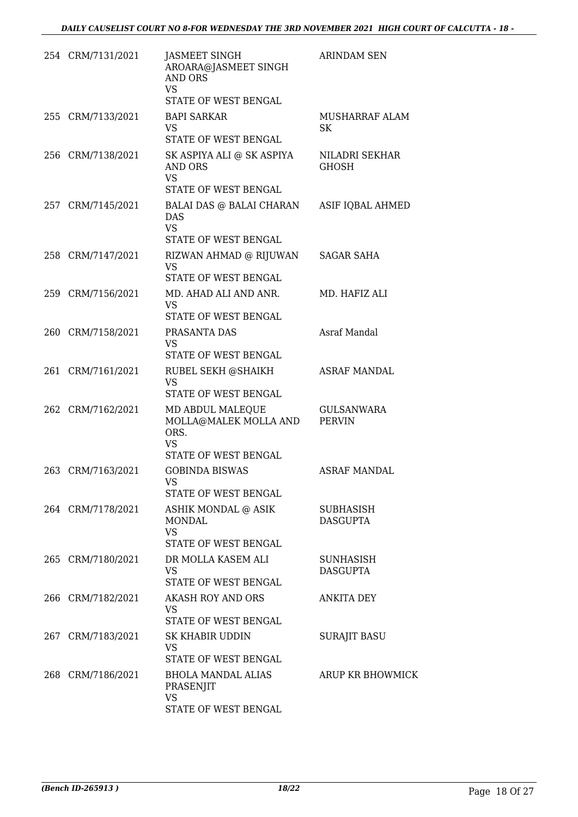| 254 CRM/7131/2021 | JASMEET SINGH<br>AROARA@JASMEET SINGH<br><b>AND ORS</b><br><b>VS</b><br>STATE OF WEST BENGAL             | <b>ARINDAM SEN</b>                 |
|-------------------|----------------------------------------------------------------------------------------------------------|------------------------------------|
| 255 CRM/7133/2021 | <b>BAPI SARKAR</b><br>VS.                                                                                | MUSHARRAF ALAM<br>SK               |
| 256 CRM/7138/2021 | STATE OF WEST BENGAL<br>SK ASPIYA ALI @ SK ASPIYA<br><b>AND ORS</b><br><b>VS</b><br>STATE OF WEST BENGAL | NILADRI SEKHAR<br><b>GHOSH</b>     |
| 257 CRM/7145/2021 | BALAI DAS @ BALAI CHARAN<br><b>DAS</b><br><b>VS</b><br>STATE OF WEST BENGAL                              | ASIF IQBAL AHMED                   |
| 258 CRM/7147/2021 | RIZWAN AHMAD @ RIJUWAN<br><b>VS</b><br>STATE OF WEST BENGAL                                              | <b>SAGAR SAHA</b>                  |
| 259 CRM/7156/2021 | MD. AHAD ALI AND ANR.<br><b>VS</b><br>STATE OF WEST BENGAL                                               | MD. HAFIZ ALI                      |
| 260 CRM/7158/2021 | PRASANTA DAS<br><b>VS</b><br>STATE OF WEST BENGAL                                                        | Asraf Mandal                       |
| 261 CRM/7161/2021 | RUBEL SEKH @SHAIKH<br><b>VS</b><br>STATE OF WEST BENGAL                                                  | <b>ASRAF MANDAL</b>                |
| 262 CRM/7162/2021 | MD ABDUL MALEQUE<br>MOLLA@MALEK MOLLA AND<br>ORS.<br><b>VS</b><br>STATE OF WEST BENGAL                   | <b>GULSANWARA</b><br><b>PERVIN</b> |
| 263 CRM/7163/2021 | <b>GOBINDA BISWAS</b><br>VS FOR STRUMP.<br>STATE OF WEST BENGAL                                          | <b>ASRAF MANDAL</b>                |
| 264 CRM/7178/2021 | ASHIK MONDAL @ ASIK<br><b>MONDAL</b><br><b>VS</b><br>STATE OF WEST BENGAL                                | SUBHASISH<br><b>DASGUPTA</b>       |
| 265 CRM/7180/2021 | DR MOLLA KASEM ALI<br><b>VS</b><br>STATE OF WEST BENGAL                                                  | SUNHASISH<br><b>DASGUPTA</b>       |
| 266 CRM/7182/2021 | AKASH ROY AND ORS<br>VS.<br>STATE OF WEST BENGAL                                                         | ANKITA DEY                         |
| 267 CRM/7183/2021 | SK KHABIR UDDIN<br>VS<br>STATE OF WEST BENGAL                                                            | <b>SURAJIT BASU</b>                |
| 268 CRM/7186/2021 | <b>BHOLA MANDAL ALIAS</b><br>PRASENJIT<br><b>VS</b><br>STATE OF WEST BENGAL                              | ARUP KR BHOWMICK                   |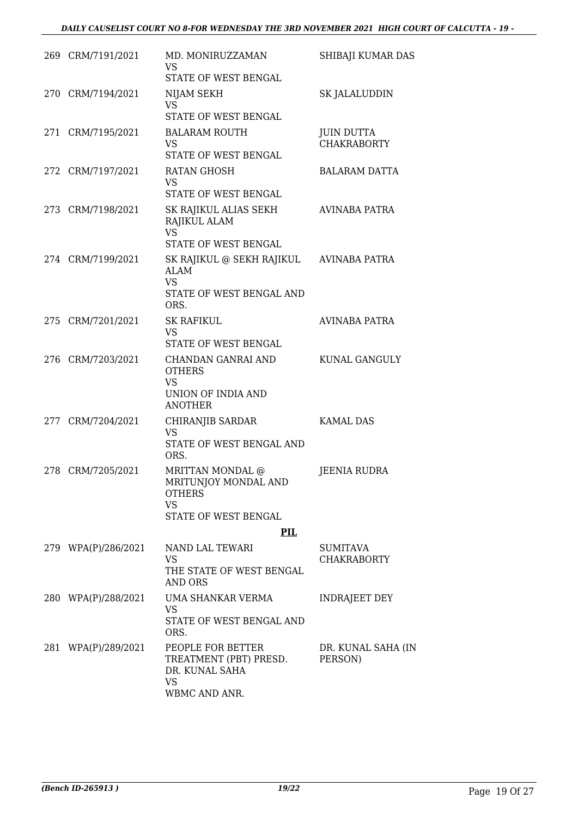| 269 CRM/7191/2021   | MD. MONIRUZZAMAN<br>VS<br>STATE OF WEST BENGAL                                                                    | SHIBAJI KUMAR DAS                       |
|---------------------|-------------------------------------------------------------------------------------------------------------------|-----------------------------------------|
| 270 CRM/7194/2021   | NIJAM SEKH<br><b>VS</b><br>STATE OF WEST BENGAL                                                                   | SK JALALUDDIN                           |
| 271 CRM/7195/2021   | <b>BALARAM ROUTH</b><br>VS<br>STATE OF WEST BENGAL                                                                | <b>JUIN DUTTA</b><br><b>CHAKRABORTY</b> |
| 272 CRM/7197/2021   | <b>RATAN GHOSH</b><br>VS<br>STATE OF WEST BENGAL                                                                  | BALARAM DATTA                           |
| 273 CRM/7198/2021   | SK RAJIKUL ALIAS SEKH<br>RAJIKUL ALAM<br><b>VS</b>                                                                | AVINABA PATRA                           |
| 274 CRM/7199/2021   | STATE OF WEST BENGAL<br>SK RAJIKUL @ SEKH RAJIKUL<br><b>ALAM</b><br><b>VS</b><br>STATE OF WEST BENGAL AND<br>ORS. | <b>AVINABA PATRA</b>                    |
| 275 CRM/7201/2021   | <b>SK RAFIKUL</b><br><b>VS</b><br>STATE OF WEST BENGAL                                                            | AVINABA PATRA                           |
| 276 CRM/7203/2021   | CHANDAN GANRAI AND<br><b>OTHERS</b><br>VS<br>UNION OF INDIA AND<br><b>ANOTHER</b>                                 | KUNAL GANGULY                           |
| 277 CRM/7204/2021   | CHIRANJIB SARDAR<br><b>VS</b><br>STATE OF WEST BENGAL AND<br>ORS.                                                 | <b>KAMAL DAS</b>                        |
| 278 CRM/7205/2021   | MRITTAN MONDAL @<br>MRITUNJOY MONDAL AND<br><b>OTHERS</b><br><b>VS</b><br>STATE OF WEST BENGAL                    | <b>JEENIA RUDRA</b>                     |
|                     | PIL                                                                                                               |                                         |
| 279 WPA(P)/286/2021 | NAND LAL TEWARI<br>VS<br>THE STATE OF WEST BENGAL<br>AND ORS                                                      | SUMITAVA<br><b>CHAKRABORTY</b>          |
| 280 WPA(P)/288/2021 | UMA SHANKAR VERMA<br>VS<br>STATE OF WEST BENGAL AND<br>ORS.                                                       | <b>INDRAJEET DEY</b>                    |
| 281 WPA(P)/289/2021 | PEOPLE FOR BETTER<br>TREATMENT (PBT) PRESD.<br>DR. KUNAL SAHA<br>VS<br>WBMC AND ANR.                              | DR. KUNAL SAHA (IN<br>PERSON)           |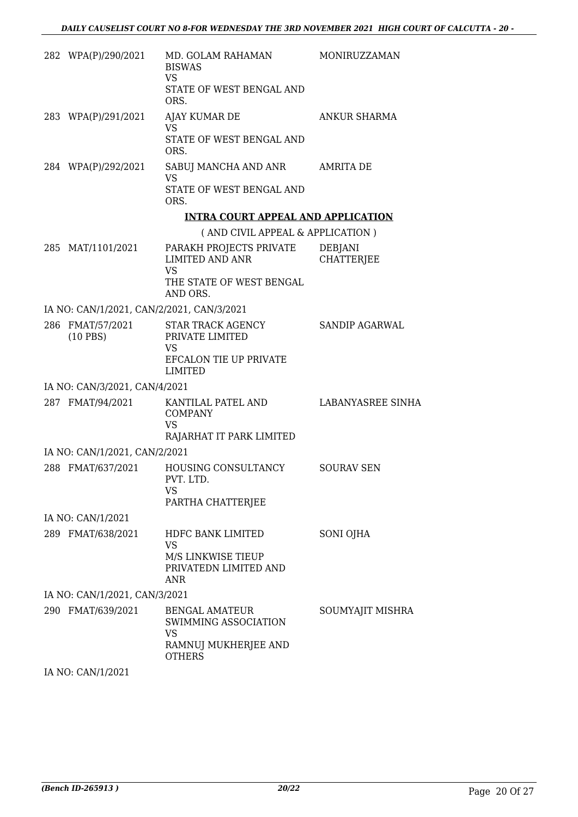| 282 WPA(P)/290/2021                       | MD. GOLAM RAHAMAN<br><b>BISWAS</b><br>VS                                                     | MONIRUZZAMAN                        |
|-------------------------------------------|----------------------------------------------------------------------------------------------|-------------------------------------|
|                                           | STATE OF WEST BENGAL AND<br>ORS.                                                             |                                     |
| 283 WPA(P)/291/2021                       | AJAY KUMAR DE<br><b>VS</b>                                                                   | <b>ANKUR SHARMA</b>                 |
|                                           | STATE OF WEST BENGAL AND<br>ORS.                                                             |                                     |
| 284 WPA(P)/292/2021                       | SABUJ MANCHA AND ANR AMRITA DE<br><b>VS</b>                                                  |                                     |
|                                           | STATE OF WEST BENGAL AND<br>ORS.                                                             |                                     |
|                                           | <b>INTRA COURT APPEAL AND APPLICATION</b>                                                    |                                     |
|                                           | (AND CIVIL APPEAL & APPLICATION)                                                             |                                     |
| 285 MAT/1101/2021                         | PARAKH PROJECTS PRIVATE<br><b>LIMITED AND ANR</b><br><b>VS</b>                               | <b>DEBJANI</b><br><b>CHATTERJEE</b> |
|                                           | THE STATE OF WEST BENGAL<br>AND ORS.                                                         |                                     |
| IA NO: CAN/1/2021, CAN/2/2021, CAN/3/2021 |                                                                                              |                                     |
| 286 FMAT/57/2021<br>$(10$ PBS)            | STAR TRACK AGENCY<br>PRIVATE LIMITED<br>VS<br>EFCALON TIE UP PRIVATE                         | SANDIP AGARWAL                      |
|                                           | <b>LIMITED</b>                                                                               |                                     |
| IA NO: CAN/3/2021, CAN/4/2021             |                                                                                              |                                     |
| 287 FMAT/94/2021                          | KANTILAL PATEL AND<br><b>COMPANY</b><br><b>VS</b><br>RAJARHAT IT PARK LIMITED                | LABANYASREE SINHA                   |
| IA NO: CAN/1/2021, CAN/2/2021             |                                                                                              |                                     |
| 288 FMAT/637/2021                         | HOUSING CONSULTANCY SOURAV SEN<br>PVT. LTD.<br>VS<br>PARTHA CHATTERJEE                       |                                     |
| IA NO: CAN/1/2021                         |                                                                                              |                                     |
| 289 FMAT/638/2021                         | HDFC BANK LIMITED<br>VS<br>M/S LINKWISE TIEUP<br>PRIVATEDN LIMITED AND<br>ANR                | SONI OJHA                           |
| IA NO: CAN/1/2021, CAN/3/2021             |                                                                                              |                                     |
| 290 FMAT/639/2021                         | <b>BENGAL AMATEUR</b><br>SWIMMING ASSOCIATION<br>VS<br>RAMNUJ MUKHERJEE AND<br><b>OTHERS</b> | SOUMYAJIT MISHRA                    |

IA NO: CAN/1/2021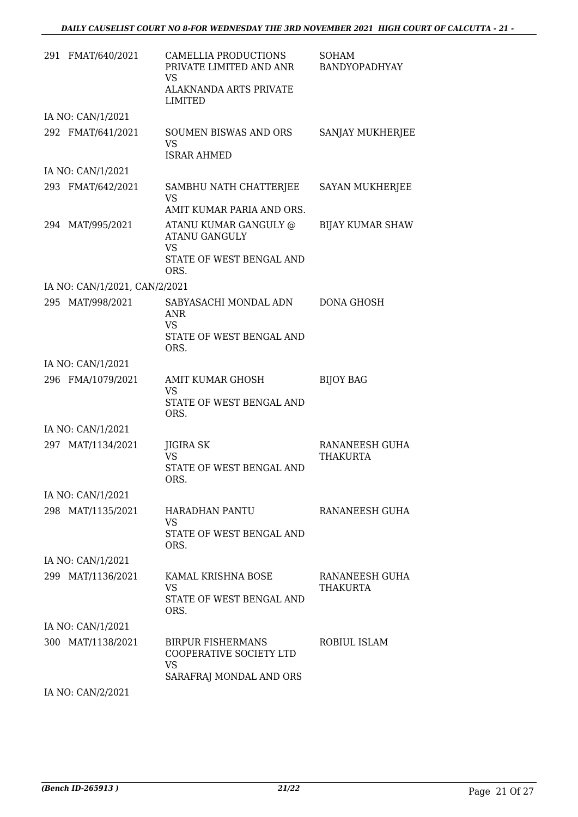| 291 FMAT/640/2021             | CAMELLIA PRODUCTIONS<br>PRIVATE LIMITED AND ANR<br>VS<br>ALAKNANDA ARTS PRIVATE<br>LIMITED  | <b>SOHAM</b><br>BANDYOPADHYAY     |
|-------------------------------|---------------------------------------------------------------------------------------------|-----------------------------------|
| IA NO: CAN/1/2021             |                                                                                             |                                   |
| 292 FMAT/641/2021             | <b>SOUMEN BISWAS AND ORS</b><br><b>VS</b><br><b>ISRAR AHMED</b>                             | SANJAY MUKHERJEE                  |
| IA NO: CAN/1/2021             |                                                                                             |                                   |
| 293 FMAT/642/2021             | SAMBHU NATH CHATTERJEE<br>VS<br>AMIT KUMAR PARIA AND ORS.                                   | SAYAN MUKHERJEE                   |
| 294 MAT/995/2021              | ATANU KUMAR GANGULY @<br><b>ATANU GANGULY</b><br><b>VS</b>                                  | <b>BIJAY KUMAR SHAW</b>           |
|                               | STATE OF WEST BENGAL AND<br>ORS.                                                            |                                   |
| IA NO: CAN/1/2021, CAN/2/2021 |                                                                                             |                                   |
| 295 MAT/998/2021              | SABYASACHI MONDAL ADN<br>ANR<br><b>VS</b><br>STATE OF WEST BENGAL AND                       | <b>DONA GHOSH</b>                 |
|                               | ORS.                                                                                        |                                   |
| IA NO: CAN/1/2021             |                                                                                             |                                   |
| 296 FMA/1079/2021             | AMIT KUMAR GHOSH<br>VS<br>STATE OF WEST BENGAL AND<br>ORS.                                  | <b>BIJOY BAG</b>                  |
| IA NO: CAN/1/2021             |                                                                                             |                                   |
| 297 MAT/1134/2021             | JIGIRA SK<br><b>VS</b><br>STATE OF WEST BENGAL AND<br>ORS.                                  | RANANEESH GUHA<br><b>THAKURTA</b> |
| IA NO: CAN/1/2021             |                                                                                             |                                   |
| 298 MAT/1135/2021             | <b>HARADHAN PANTU</b><br>VS.<br>STATE OF WEST BENGAL AND                                    | RANANEESH GUHA                    |
|                               | ORS.                                                                                        |                                   |
| IA NO: CAN/1/2021             |                                                                                             |                                   |
| 299 MAT/1136/2021             | KAMAL KRISHNA BOSE<br>VS<br>STATE OF WEST BENGAL AND<br>ORS.                                | RANANEESH GUHA<br>THAKURTA        |
| IA NO: CAN/1/2021             |                                                                                             |                                   |
| 300 MAT/1138/2021             | <b>BIRPUR FISHERMANS</b><br>COOPERATIVE SOCIETY LTD<br><b>VS</b><br>SARAFRAJ MONDAL AND ORS | ROBIUL ISLAM                      |
|                               |                                                                                             |                                   |

IA NO: CAN/2/2021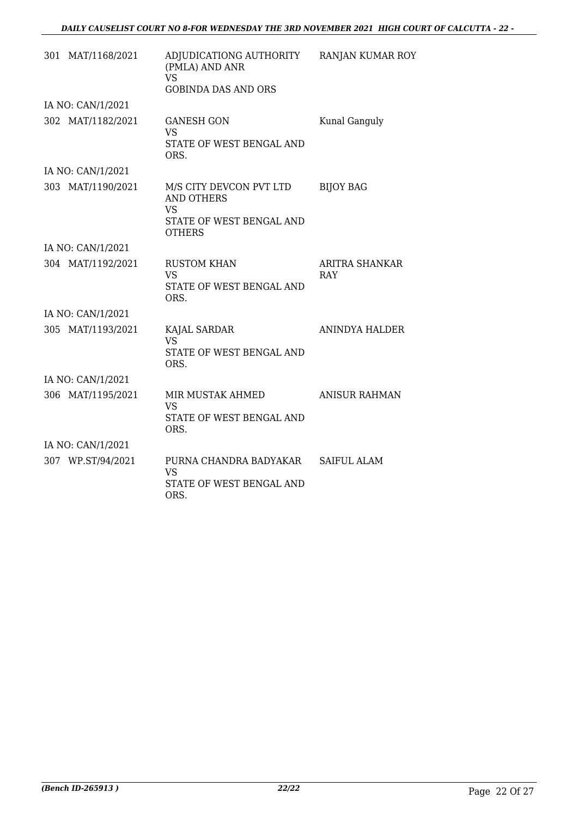| 301 MAT/1168/2021 | ADJUDICATIONG AUTHORITY<br>(PMLA) AND ANR<br>VS<br><b>GOBINDA DAS AND ORS</b>                          | <b>RANJAN KUMAR ROY</b> |
|-------------------|--------------------------------------------------------------------------------------------------------|-------------------------|
| IA NO: CAN/1/2021 |                                                                                                        |                         |
| 302 MAT/1182/2021 | <b>GANESH GON</b><br>VS<br>STATE OF WEST BENGAL AND<br>ORS.                                            | Kunal Ganguly           |
| IA NO: CAN/1/2021 |                                                                                                        |                         |
| 303 MAT/1190/2021 | M/S CITY DEVCON PVT LTD<br><b>AND OTHERS</b><br><b>VS</b><br>STATE OF WEST BENGAL AND<br><b>OTHERS</b> | <b>BIJOY BAG</b>        |
| IA NO: CAN/1/2021 |                                                                                                        |                         |
| 304 MAT/1192/2021 | <b>RUSTOM KHAN</b><br>VS<br>STATE OF WEST BENGAL AND<br>ORS.                                           | ARITRA SHANKAR<br>RAY   |
| IA NO: CAN/1/2021 |                                                                                                        |                         |
| 305 MAT/1193/2021 | KAJAL SARDAR<br><b>VS</b><br>STATE OF WEST BENGAL AND<br>ORS.                                          | ANINDYA HALDER          |
| IA NO: CAN/1/2021 |                                                                                                        |                         |
| 306 MAT/1195/2021 | MIR MUSTAK AHMED<br><b>VS</b><br>STATE OF WEST BENGAL AND<br>ORS.                                      | <b>ANISUR RAHMAN</b>    |
| IA NO: CAN/1/2021 |                                                                                                        |                         |
| 307 WP.ST/94/2021 | PURNA CHANDRA BADYAKAR<br>VS<br>STATE OF WEST BENGAL AND<br>ORS.                                       | <b>SAIFUL ALAM</b>      |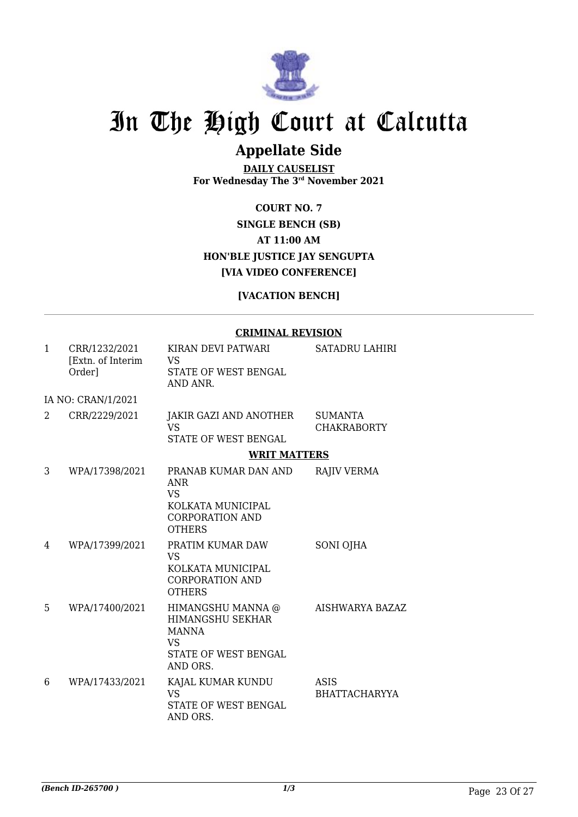

## **Appellate Side**

**DAILY CAUSELIST For Wednesday The 3rd November 2021**

**COURT NO. 7 SINGLE BENCH (SB) AT 11:00 AM HON'BLE JUSTICE JAY SENGUPTA [VIA VIDEO CONFERENCE]**

### **[VACATION BENCH]**

#### **CRIMINAL REVISION**

| $\mathbf{1}$   | CRR/1232/2021<br>[Extn. of Interim]<br>Order] | KIRAN DEVI PATWARI<br>VS<br>STATE OF WEST BENGAL<br>AND ANR.                                                   | <b>SATADRU LAHIRI</b>                |
|----------------|-----------------------------------------------|----------------------------------------------------------------------------------------------------------------|--------------------------------------|
|                | IA NO: CRAN/1/2021                            |                                                                                                                |                                      |
| $\mathfrak{D}$ | CRR/2229/2021                                 | JAKIR GAZI AND ANOTHER<br><b>VS</b><br>STATE OF WEST BENGAL                                                    | <b>SUMANTA</b><br><b>CHAKRABORTY</b> |
|                |                                               | <b>WRIT MATTERS</b>                                                                                            |                                      |
| 3              | WPA/17398/2021                                | PRANAB KUMAR DAN AND<br><b>ANR</b><br><b>VS</b><br>KOLKATA MUNICIPAL<br><b>CORPORATION AND</b>                 | <b>RAJIV VERMA</b>                   |
| 4              | WPA/17399/2021                                | <b>OTHERS</b><br>PRATIM KUMAR DAW<br><b>VS</b><br>KOLKATA MUNICIPAL<br><b>CORPORATION AND</b><br><b>OTHERS</b> | SONI OJHA                            |
| 5              | WPA/17400/2021                                | HIMANGSHU MANNA @<br><b>HIMANGSHU SEKHAR</b><br><b>MANNA</b><br><b>VS</b><br>STATE OF WEST BENGAL<br>AND ORS.  | <b>AISHWARYA BAZAZ</b>               |
| 6              | WPA/17433/2021                                | KAJAL KUMAR KUNDU<br><b>VS</b><br>STATE OF WEST BENGAL<br>AND ORS.                                             | ASIS<br><b>BHATTACHARYYA</b>         |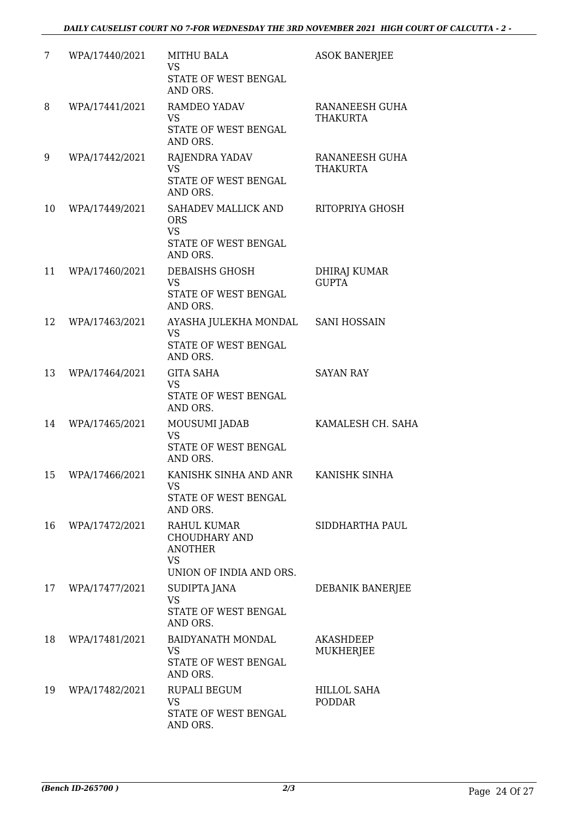| 7  | WPA/17440/2021 | <b>MITHU BALA</b><br><b>VS</b><br>STATE OF WEST BENGAL<br>AND ORS.                                   | <b>ASOK BANERJEE</b>                |
|----|----------------|------------------------------------------------------------------------------------------------------|-------------------------------------|
| 8  | WPA/17441/2021 | RAMDEO YADAV<br><b>VS</b><br>STATE OF WEST BENGAL<br>AND ORS.                                        | RANANEESH GUHA<br><b>THAKURTA</b>   |
| 9  | WPA/17442/2021 | RAJENDRA YADAV<br><b>VS</b><br>STATE OF WEST BENGAL<br>AND ORS.                                      | RANANEESH GUHA<br><b>THAKURTA</b>   |
| 10 | WPA/17449/2021 | SAHADEV MALLICK AND<br><b>ORS</b><br><b>VS</b><br>STATE OF WEST BENGAL<br>AND ORS.                   | RITOPRIYA GHOSH                     |
| 11 | WPA/17460/2021 | <b>DEBAISHS GHOSH</b><br><b>VS</b><br><b>STATE OF WEST BENGAL</b><br>AND ORS.                        | <b>DHIRAJ KUMAR</b><br><b>GUPTA</b> |
| 12 | WPA/17463/2021 | AYASHA JULEKHA MONDAL<br><b>VS</b><br>STATE OF WEST BENGAL<br>AND ORS.                               | <b>SANI HOSSAIN</b>                 |
| 13 | WPA/17464/2021 | <b>GITA SAHA</b><br><b>VS</b><br>STATE OF WEST BENGAL<br>AND ORS.                                    | <b>SAYAN RAY</b>                    |
| 14 | WPA/17465/2021 | MOUSUMI JADAB<br><b>VS</b><br>STATE OF WEST BENGAL<br>AND ORS.                                       | KAMALESH CH. SAHA                   |
| 15 | WPA/17466/2021 | KANISHK SINHA AND ANR<br><b>VS</b><br>STATE OF WEST BENGAL<br>AND ORS.                               | KANISHK SINHA                       |
| 16 | WPA/17472/2021 | <b>RAHUL KUMAR</b><br><b>CHOUDHARY AND</b><br><b>ANOTHER</b><br><b>VS</b><br>UNION OF INDIA AND ORS. | SIDDHARTHA PAUL                     |
| 17 | WPA/17477/2021 | SUDIPTA JANA<br><b>VS</b><br>STATE OF WEST BENGAL<br>AND ORS.                                        | DEBANIK BANERJEE                    |
| 18 | WPA/17481/2021 | BAIDYANATH MONDAL<br><b>VS</b><br>STATE OF WEST BENGAL<br>AND ORS.                                   | <b>AKASHDEEP</b><br>MUKHERJEE       |
| 19 | WPA/17482/2021 | RUPALI BEGUM<br><b>VS</b><br>STATE OF WEST BENGAL<br>AND ORS.                                        | HILLOL SAHA<br><b>PODDAR</b>        |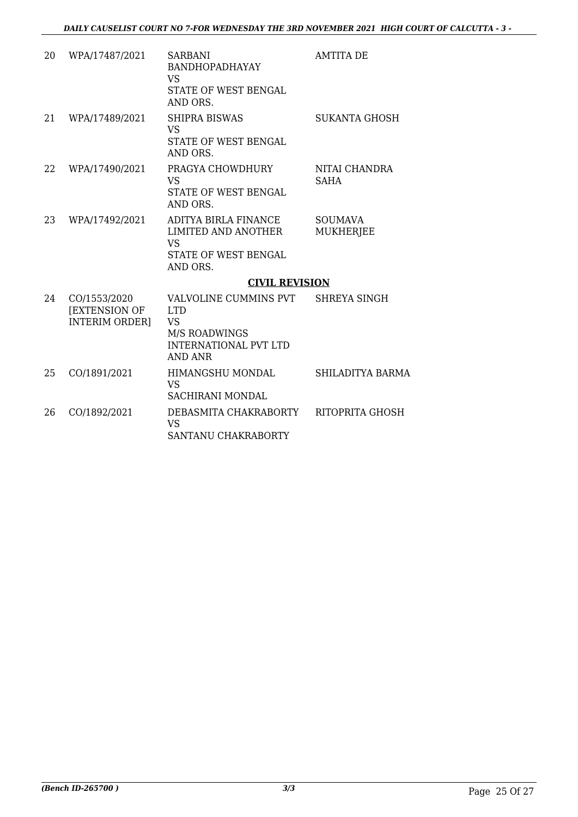| 20 | WPA/17487/2021                                                | <b>SARBANI</b><br><b>BANDHOPADHAYAY</b><br><b>VS</b><br><b>STATE OF WEST BENGAL</b><br>AND ORS.                     | <b>AMTITA DE</b>                   |
|----|---------------------------------------------------------------|---------------------------------------------------------------------------------------------------------------------|------------------------------------|
| 21 | WPA/17489/2021                                                | SHIPRA BISWAS<br><b>VS</b><br><b>STATE OF WEST BENGAL</b><br>AND ORS.                                               | <b>SUKANTA GHOSH</b>               |
| 22 | WPA/17490/2021                                                | PRAGYA CHOWDHURY<br><b>VS</b><br>STATE OF WEST BENGAL<br>AND ORS.                                                   | NITAI CHANDRA<br><b>SAHA</b>       |
| 23 | WPA/17492/2021                                                | ADITYA BIRLA FINANCE<br>LIMITED AND ANOTHER<br><b>VS</b><br>STATE OF WEST BENGAL<br>AND ORS.                        | <b>SOUMAVA</b><br><b>MUKHERJEE</b> |
|    |                                                               | <b>CIVIL REVISION</b>                                                                                               |                                    |
| 24 | CO/1553/2020<br><b>[EXTENSION OF</b><br><b>INTERIM ORDER]</b> | VALVOLINE CUMMINS PVT<br><b>LTD</b><br><b>VS</b><br><b>M/S ROADWINGS</b><br><b>INTERNATIONAL PVT LTD</b><br>AND ANR | <b>SHREYA SINGH</b>                |
| 25 | CO/1891/2021                                                  | HIMANGSHU MONDAL<br><b>VS</b><br>SACHIRANI MONDAL                                                                   | <b>SHILADITYA BARMA</b>            |
| 26 | CO/1892/2021                                                  | DEBASMITA CHAKRABORTY<br><b>VS</b><br>SANTANU CHAKRABORTY                                                           | RITOPRITA GHOSH                    |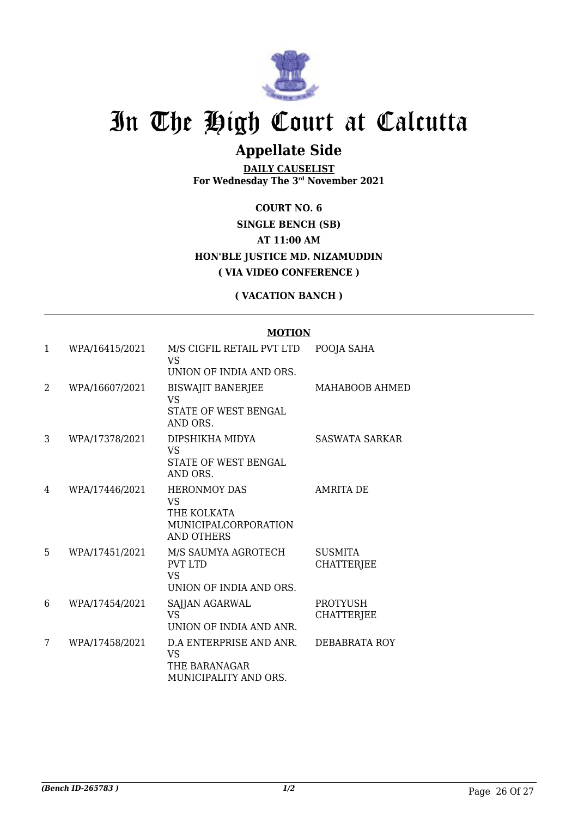

## **Appellate Side**

**DAILY CAUSELIST For Wednesday The 3rd November 2021**

**COURT NO. 6 SINGLE BENCH (SB) AT 11:00 AM HON'BLE JUSTICE MD. NIZAMUDDIN ( VIA VIDEO CONFERENCE )**

#### **( VACATION BANCH )**

#### **MOTION**

| 1 | WPA/16415/2021 | M/S CIGFIL RETAIL PVT LTD<br>VS<br>UNION OF INDIA AND ORS.                                          | POOJA SAHA                           |
|---|----------------|-----------------------------------------------------------------------------------------------------|--------------------------------------|
| 2 | WPA/16607/2021 | <b>BISWAJIT BANERJEE</b><br><b>VS</b><br>STATE OF WEST BENGAL<br>AND ORS.                           | MAHABOOB AHMED                       |
| 3 | WPA/17378/2021 | DIPSHIKHA MIDYA<br>VS<br>STATE OF WEST BENGAL<br>AND ORS.                                           | SASWATA SARKAR                       |
| 4 | WPA/17446/2021 | <b>HERONMOY DAS</b><br><b>VS</b><br>THE KOLKATA<br><b>MUNICIPALCORPORATION</b><br><b>AND OTHERS</b> | <b>AMRITA DE</b>                     |
| 5 | WPA/17451/2021 | M/S SAUMYA AGROTECH<br><b>PVT LTD</b><br><b>VS</b><br>UNION OF INDIA AND ORS.                       | <b>SUSMITA</b><br><b>CHATTERJEE</b>  |
| 6 | WPA/17454/2021 | SAJJAN AGARWAL<br><b>VS</b><br>UNION OF INDIA AND ANR.                                              | <b>PROTYUSH</b><br><b>CHATTERJEE</b> |
| 7 | WPA/17458/2021 | D.A ENTERPRISE AND ANR.<br><b>VS</b><br>THE BARANAGAR<br>MUNICIPALITY AND ORS.                      | DEBABRATA ROY                        |